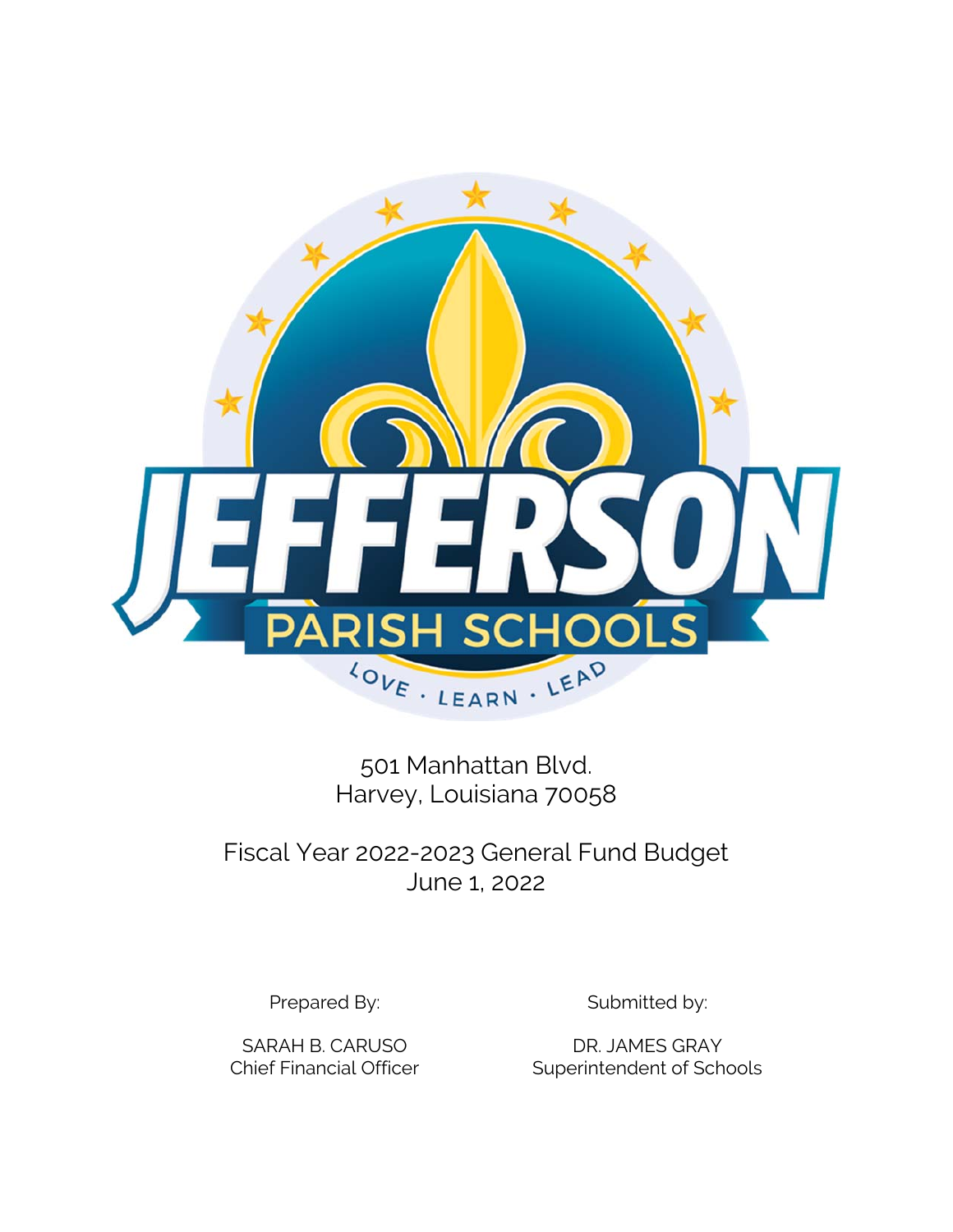

501 Manhattan Blvd. Harvey, Louisiana 70058

Fiscal Year 2022-2023 General Fund Budget June 1, 2022

Prepared By: Submitted by:

SARAH B. CARUSO DR. JAMES GRAY Chief Financial Officer Superintendent of Schools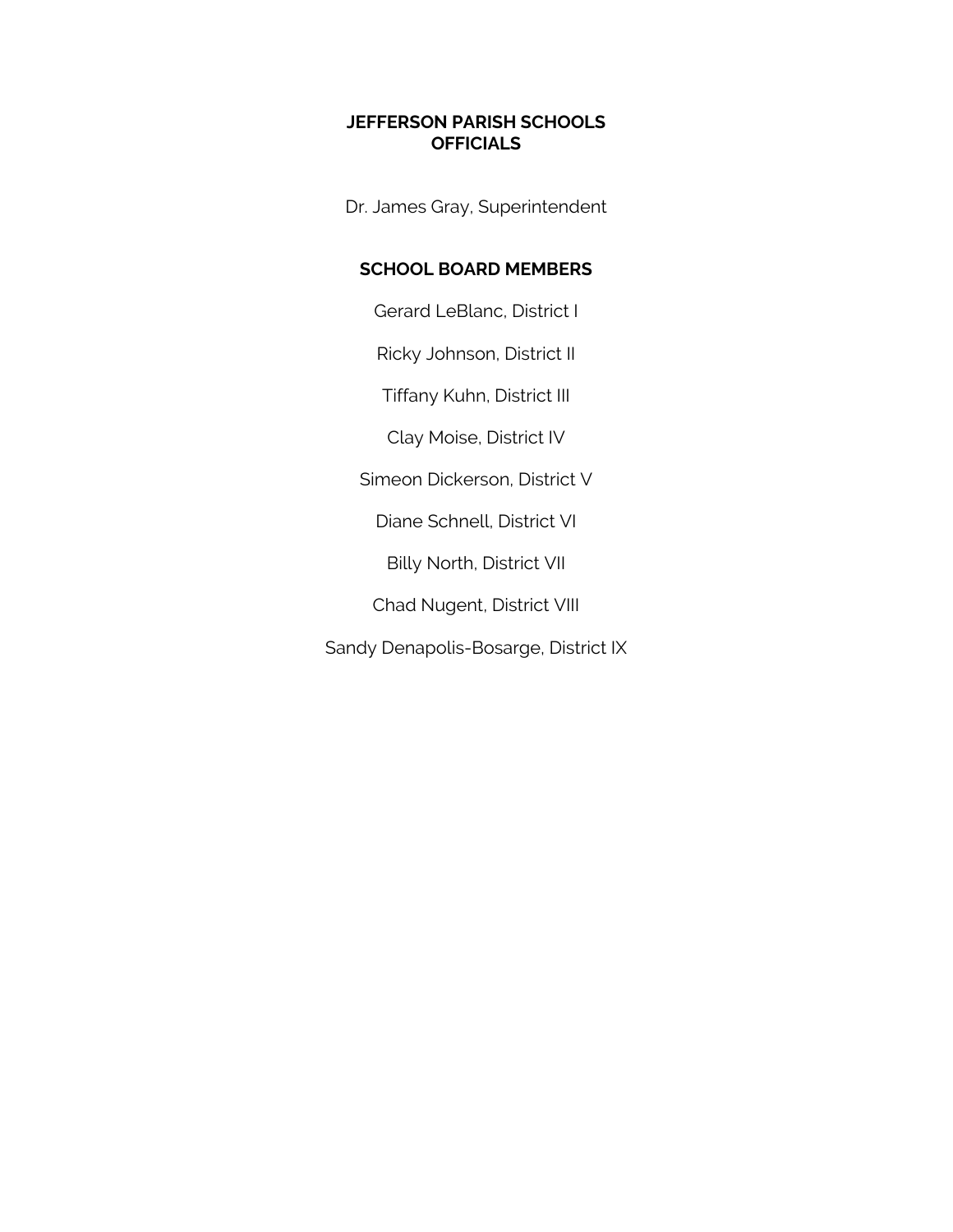## **JEFFERSON PARISH SCHOOLS OFFICIALS**

Dr. James Gray, Superintendent

# **SCHOOL BOARD MEMBERS**

Gerard LeBlanc, District I

Ricky Johnson, District II

Tiffany Kuhn, District III

Clay Moise, District IV

Simeon Dickerson, District V

Diane Schnell, District VI

Billy North, District VII

Chad Nugent, District VIII

Sandy Denapolis-Bosarge, District IX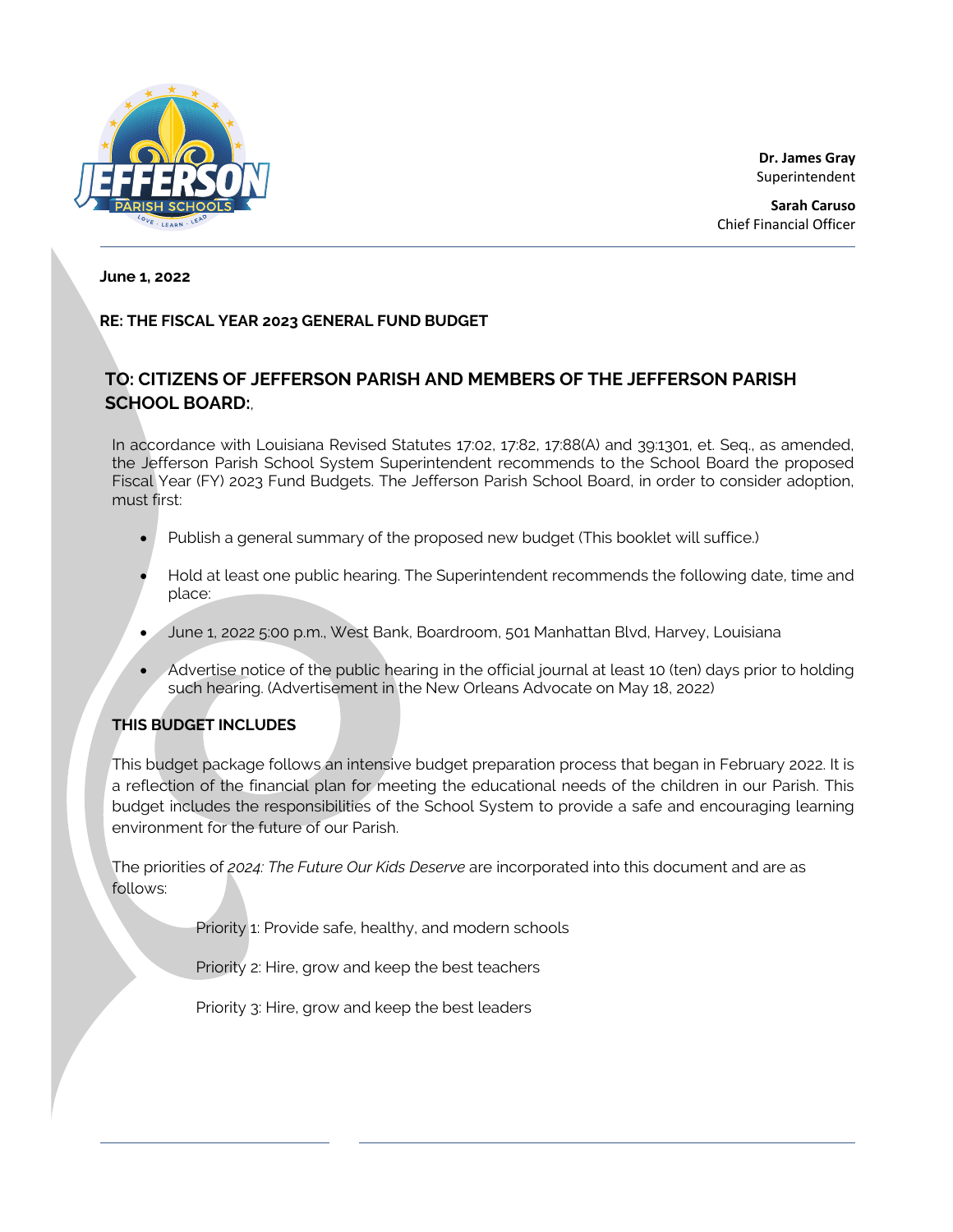

**Dr. James Gray** Superintendent

**Sarah Caruso** Chief Financial Officer

### **June 1, 2022**

### **RE: THE FISCAL YEAR 2023 GENERAL FUND BUDGET**

# **TO: CITIZENS OF JEFFERSON PARISH AND MEMBERS OF THE JEFFERSON PARISH SCHOOL BOARD:**,

In accordance with Louisiana Revised Statutes 17:02, 17:82, 17:88(A) and 39:1301, et. Seq., as amended, the Jefferson Parish School System Superintendent recommends to the School Board the proposed Fiscal Year (FY) 2023 Fund Budgets. The Jefferson Parish School Board, in order to consider adoption, must first:

- Publish a general summary of the proposed new budget (This booklet will suffice.)
- Hold at least one public hearing. The Superintendent recommends the following date, time and place:
- June 1, 2022 5:00 p.m., West Bank, Boardroom, 501 Manhattan Blvd, Harvey, Louisiana
- Advertise notice of the public hearing in the official journal at least 10 (ten) days prior to holding such hearing. (Advertisement in the New Orleans Advocate on May 18, 2022)

### **THIS BUDGET INCLUDES**

This budget package follows an intensive budget preparation process that began in February 2022. It is a reflection of the financial plan for meeting the educational needs of the children in our Parish. This budget includes the responsibilities of the School System to provide a safe and encouraging learning environment for the future of our Parish.

The priorities of *2024: The Future Our Kids Deserve* are incorporated into this document and are as follows:

Priority 1: Provide safe, healthy, and modern schools

Priority 2: Hire, grow and keep the best teachers

Priority 3: Hire, grow and keep the best leaders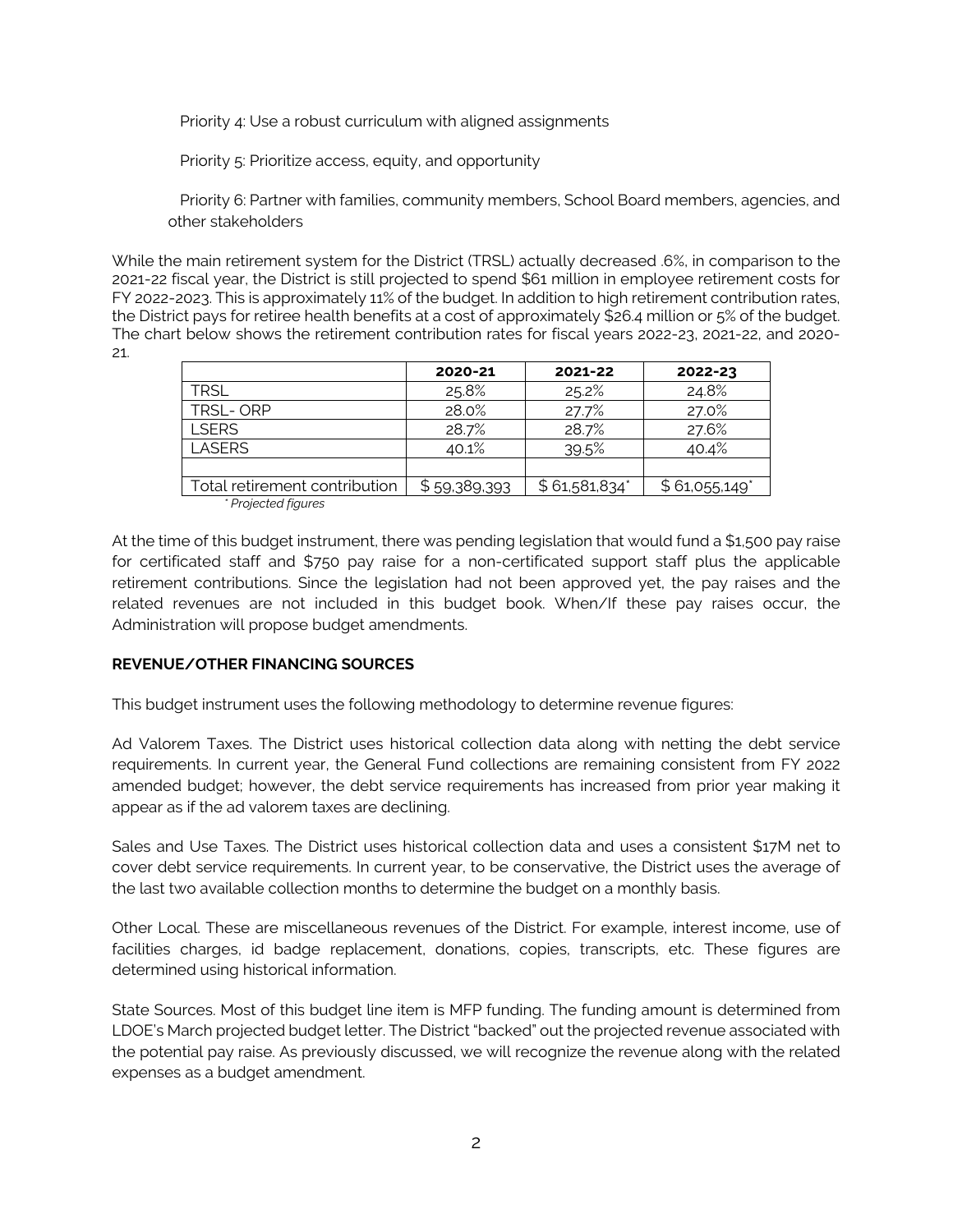Priority 4: Use a robust curriculum with aligned assignments

Priority 5: Prioritize access, equity, and opportunity

 Priority 6: Partner with families, community members, School Board members, agencies, and other stakeholders

While the main retirement system for the District (TRSL) actually decreased .6%, in comparison to the 2021-22 fiscal year, the District is still projected to spend \$61 million in employee retirement costs for FY 2022-2023. This is approximately 11% of the budget. In addition to high retirement contribution rates, the District pays for retiree health benefits at a cost of approximately \$26.4 million or 5% of the budget. The chart below shows the retirement contribution rates for fiscal years 2022-23, 2021-22, and 2020- 21.

|                               | 2020-21      | 2021-22       | 2022-23       |
|-------------------------------|--------------|---------------|---------------|
| <b>TRSL</b>                   | 25.8%        | 25.2%         | 24.8%         |
| <b>TRSL-ORP</b>               | 28.0%        | 27.7%         | 27.0%         |
| <b>I SERS</b>                 | 28.7%        | 28.7%         | 27.6%         |
| LASERS                        | 40.1%        | 39.5%         | 40.4%         |
|                               |              |               |               |
| Total retirement contribution | \$59,389,393 | \$61,581,834" | \$61,055,149" |
| * Projected figures           |              |               |               |

At the time of this budget instrument, there was pending legislation that would fund a \$1,500 pay raise for certificated staff and \$750 pay raise for a non-certificated support staff plus the applicable retirement contributions. Since the legislation had not been approved yet, the pay raises and the related revenues are not included in this budget book. When/If these pay raises occur, the Administration will propose budget amendments.

### **REVENUE/OTHER FINANCING SOURCES**

This budget instrument uses the following methodology to determine revenue figures:

Ad Valorem Taxes. The District uses historical collection data along with netting the debt service requirements. In current year, the General Fund collections are remaining consistent from FY 2022 amended budget; however, the debt service requirements has increased from prior year making it appear as if the ad valorem taxes are declining.

Sales and Use Taxes. The District uses historical collection data and uses a consistent \$17M net to cover debt service requirements. In current year, to be conservative, the District uses the average of the last two available collection months to determine the budget on a monthly basis.

Other Local. These are miscellaneous revenues of the District. For example, interest income, use of facilities charges, id badge replacement, donations, copies, transcripts, etc. These figures are determined using historical information.

State Sources. Most of this budget line item is MFP funding. The funding amount is determined from LDOE's March projected budget letter. The District "backed" out the projected revenue associated with the potential pay raise. As previously discussed, we will recognize the revenue along with the related expenses as a budget amendment.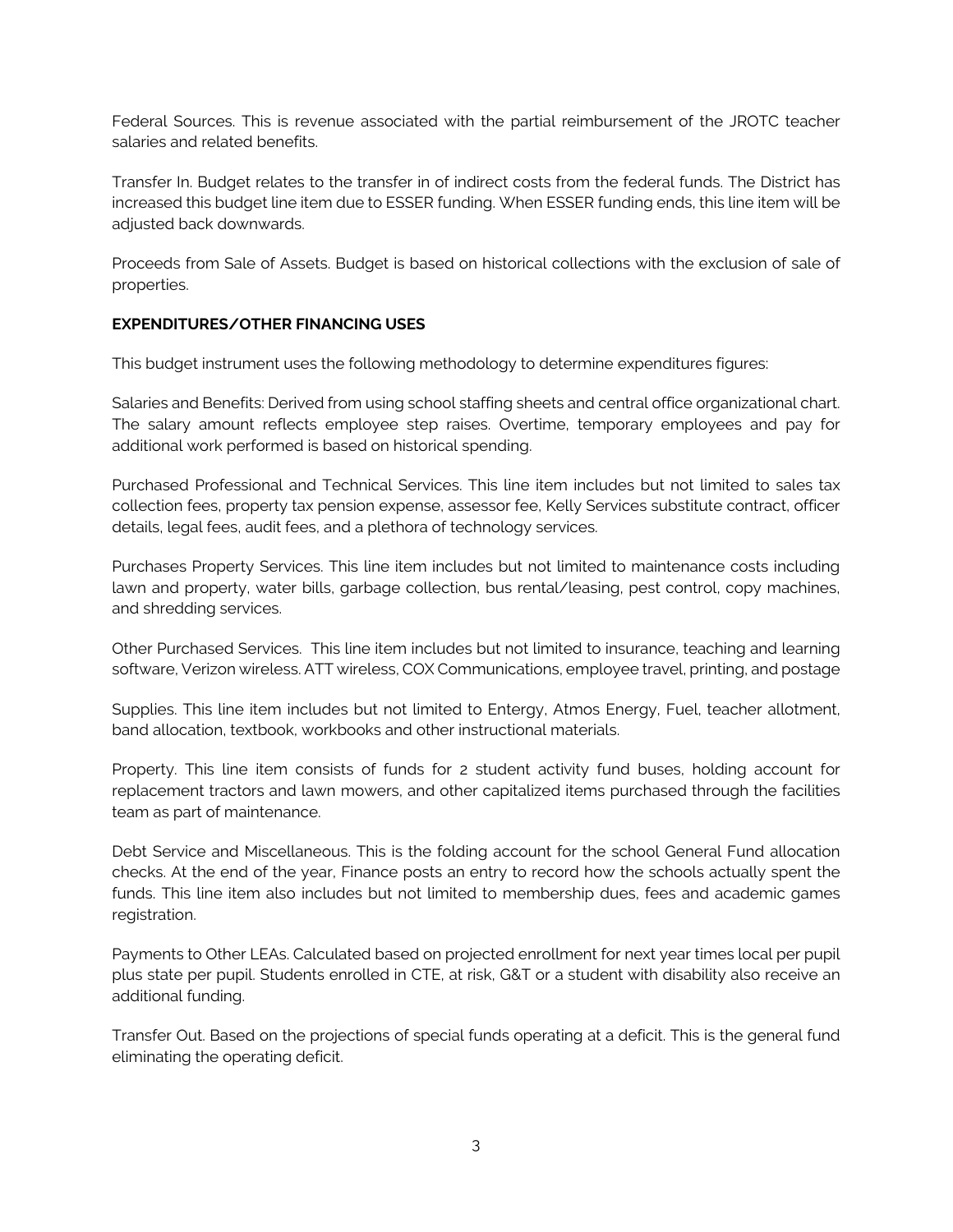Federal Sources. This is revenue associated with the partial reimbursement of the JROTC teacher salaries and related benefits.

Transfer In. Budget relates to the transfer in of indirect costs from the federal funds. The District has increased this budget line item due to ESSER funding. When ESSER funding ends, this line item will be adjusted back downwards.

Proceeds from Sale of Assets. Budget is based on historical collections with the exclusion of sale of properties.

## **EXPENDITURES/OTHER FINANCING USES**

This budget instrument uses the following methodology to determine expenditures figures:

Salaries and Benefits: Derived from using school staffing sheets and central office organizational chart. The salary amount reflects employee step raises. Overtime, temporary employees and pay for additional work performed is based on historical spending.

Purchased Professional and Technical Services. This line item includes but not limited to sales tax collection fees, property tax pension expense, assessor fee, Kelly Services substitute contract, officer details, legal fees, audit fees, and a plethora of technology services.

Purchases Property Services. This line item includes but not limited to maintenance costs including lawn and property, water bills, garbage collection, bus rental/leasing, pest control, copy machines, and shredding services.

Other Purchased Services. This line item includes but not limited to insurance, teaching and learning software, Verizon wireless. ATT wireless, COX Communications, employee travel, printing, and postage

Supplies. This line item includes but not limited to Entergy, Atmos Energy, Fuel, teacher allotment, band allocation, textbook, workbooks and other instructional materials.

Property. This line item consists of funds for 2 student activity fund buses, holding account for replacement tractors and lawn mowers, and other capitalized items purchased through the facilities team as part of maintenance.

Debt Service and Miscellaneous. This is the folding account for the school General Fund allocation checks. At the end of the year, Finance posts an entry to record how the schools actually spent the funds. This line item also includes but not limited to membership dues, fees and academic games registration.

Payments to Other LEAs. Calculated based on projected enrollment for next year times local per pupil plus state per pupil. Students enrolled in CTE, at risk, G&T or a student with disability also receive an additional funding.

Transfer Out. Based on the projections of special funds operating at a deficit. This is the general fund eliminating the operating deficit.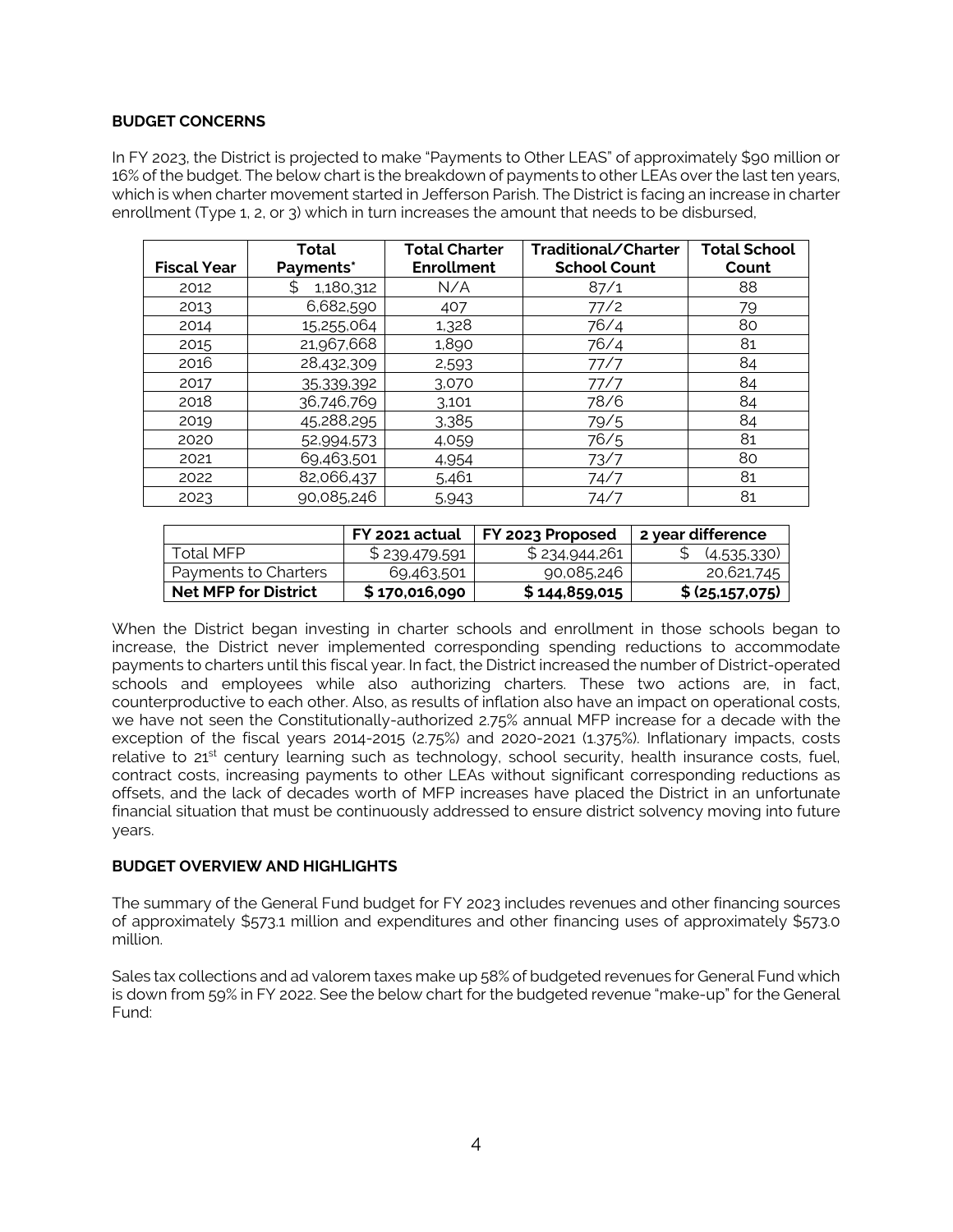### **BUDGET CONCERNS**

In FY 2023, the District is projected to make "Payments to Other LEAS" of approximately \$90 million or 16% of the budget. The below chart is the breakdown of payments to other LEAs over the last ten years, which is when charter movement started in Jefferson Parish. The District is facing an increase in charter enrollment (Type 1, 2, or 3) which in turn increases the amount that needs to be disbursed,

| <b>Fiscal Year</b> | Total<br>Payments* | <b>Total Charter</b><br><b>Enrollment</b> | Traditional/Charter<br><b>School Count</b> | <b>Total School</b><br>Count |
|--------------------|--------------------|-------------------------------------------|--------------------------------------------|------------------------------|
| 2012               | 1,180,312          | N/A                                       | 87/1                                       | 88                           |
| 2013               | 6,682,590          | 407                                       | 77/2                                       | 79                           |
| 2014               | 15,255,064         | 1,328                                     | 76/4                                       | 80                           |
| 2015               | 21,967,668         | 1,890                                     | 76/4                                       | 81                           |
| 2016               | 28,432,309         | 2,593                                     | 77/7                                       | 84                           |
| 2017               | 35,339,392         | 3,070                                     | 77/7                                       | 84                           |
| 2018               | 36,746,769         | 3.101                                     | 78/6                                       | 84                           |
| 2019               | 45,288,295         | 3,385                                     | 79/5                                       | 84                           |
| 2020               | 52,994,573         | 4,059                                     | 76/5                                       | 81                           |
| 2021               | 69,463,501         | 4,954                                     | 73/7                                       | 80                           |
| 2022               | 82,066,437         | 5,461                                     | 74/7                                       | 81                           |
| 2023               | 90,085,246         | 5,943                                     | 74/7                                       | 81                           |

|                             | FY 2021 actual | FY 2023 Proposed | 2 year difference |
|-----------------------------|----------------|------------------|-------------------|
| Total MFP.                  | \$239,479,591  | \$234,944,261    | (4,535,330)       |
| Payments to Charters        | 69,463,501     | 90,085,246       | 20,621,745        |
| <b>Net MFP for District</b> | \$170,016,090  | \$144,859,015    | \$ (25, 157, 075) |

When the District began investing in charter schools and enrollment in those schools began to increase, the District never implemented corresponding spending reductions to accommodate payments to charters until this fiscal year. In fact, the District increased the number of District-operated schools and employees while also authorizing charters. These two actions are, in fact, counterproductive to each other. Also, as results of inflation also have an impact on operational costs, we have not seen the Constitutionally-authorized 2.75% annual MFP increase for a decade with the exception of the fiscal years 2014-2015 (2.75%) and 2020-2021 (1.375%). Inflationary impacts, costs relative to 21<sup>st</sup> century learning such as technology, school security, health insurance costs, fuel, contract costs, increasing payments to other LEAs without significant corresponding reductions as offsets, and the lack of decades worth of MFP increases have placed the District in an unfortunate financial situation that must be continuously addressed to ensure district solvency moving into future years.

### **BUDGET OVERVIEW AND HIGHLIGHTS**

The summary of the General Fund budget for FY 2023 includes revenues and other financing sources of approximately \$573.1 million and expenditures and other financing uses of approximately \$573.0 million.

Sales tax collections and ad valorem taxes make up 58% of budgeted revenues for General Fund which is down from 59% in FY 2022. See the below chart for the budgeted revenue "make-up" for the General Fund: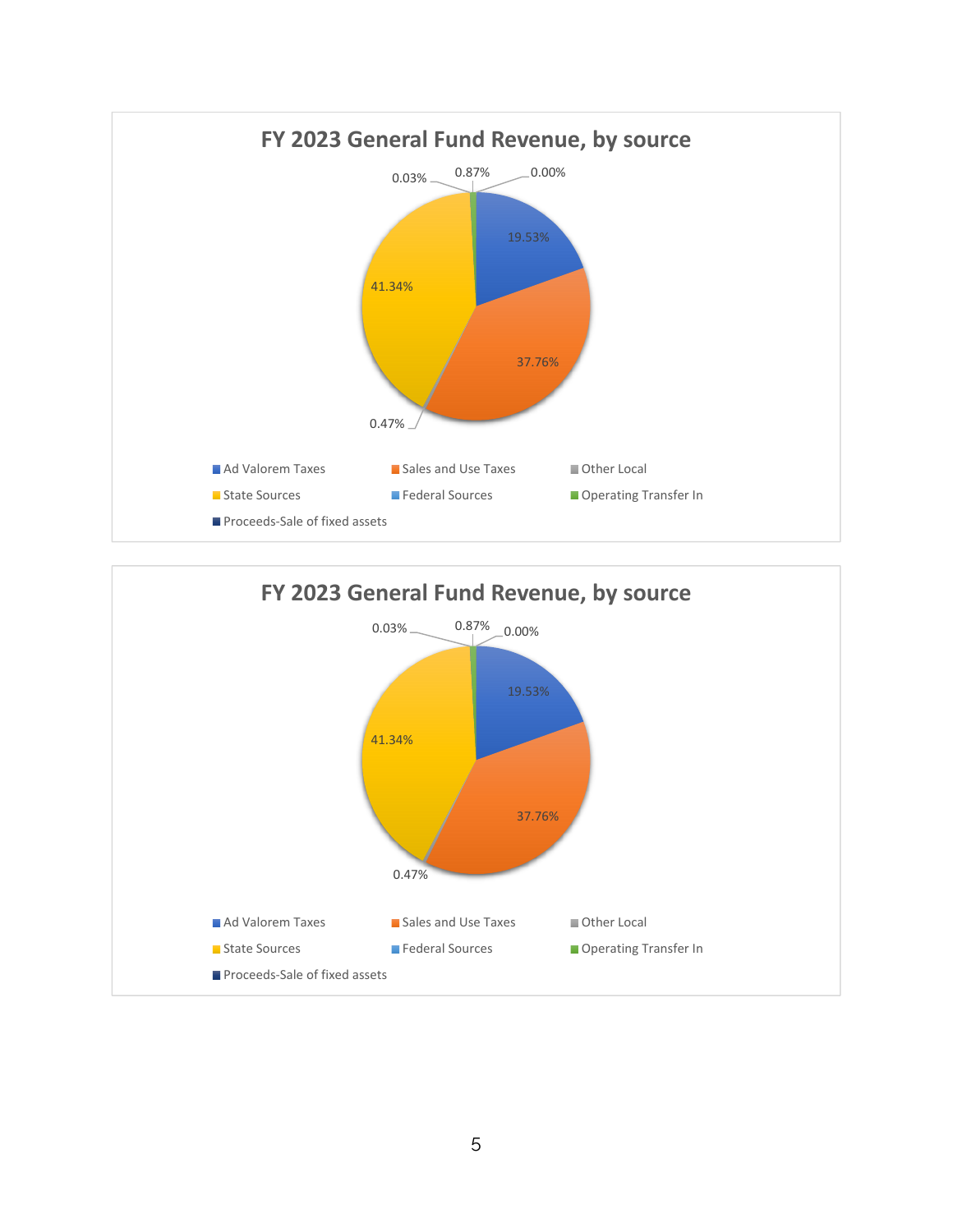

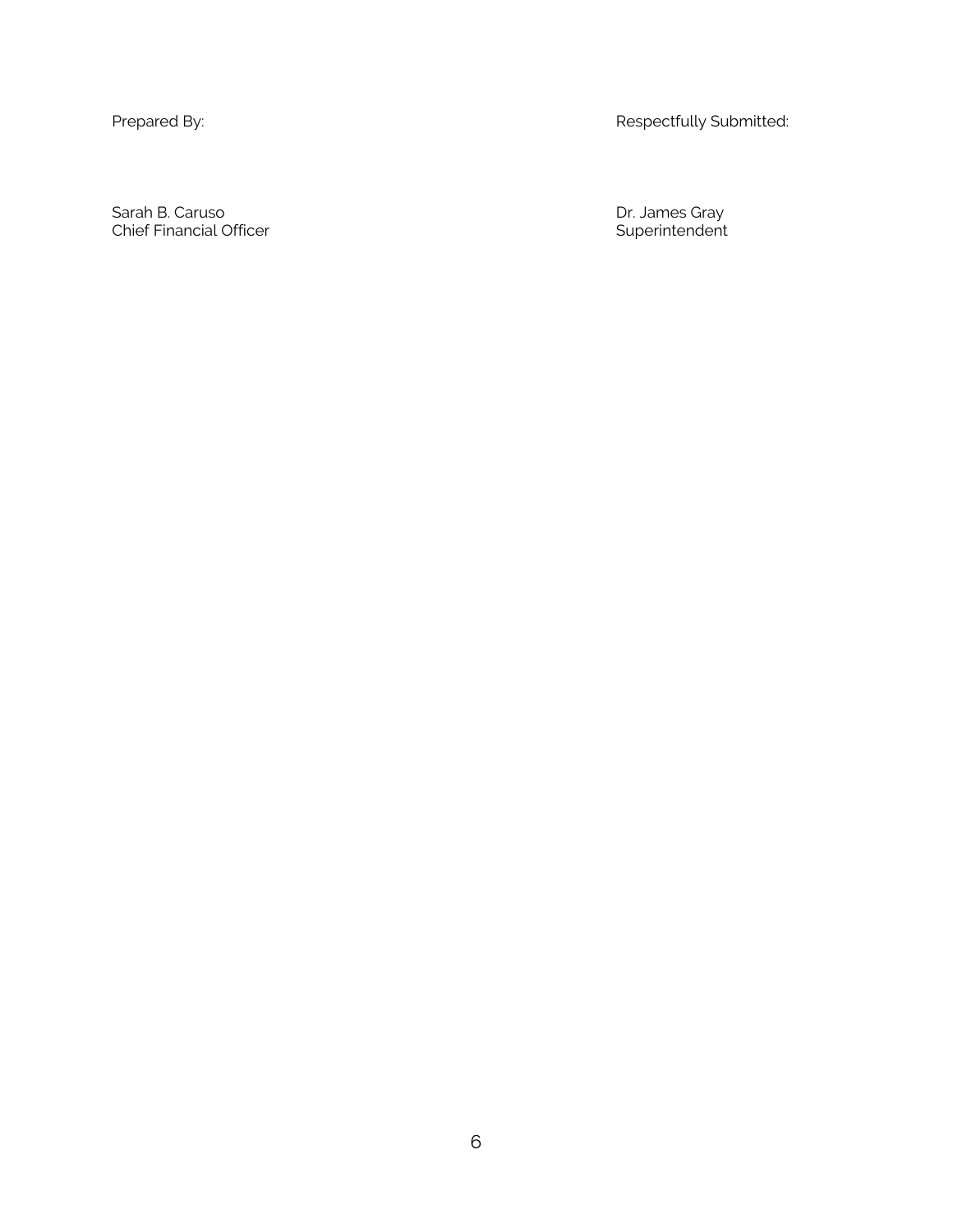Prepared By: **Respectfully Submitted:** Respectfully Submitted:

Sarah B. Caruso Dr. James Gray Chief Financial Officer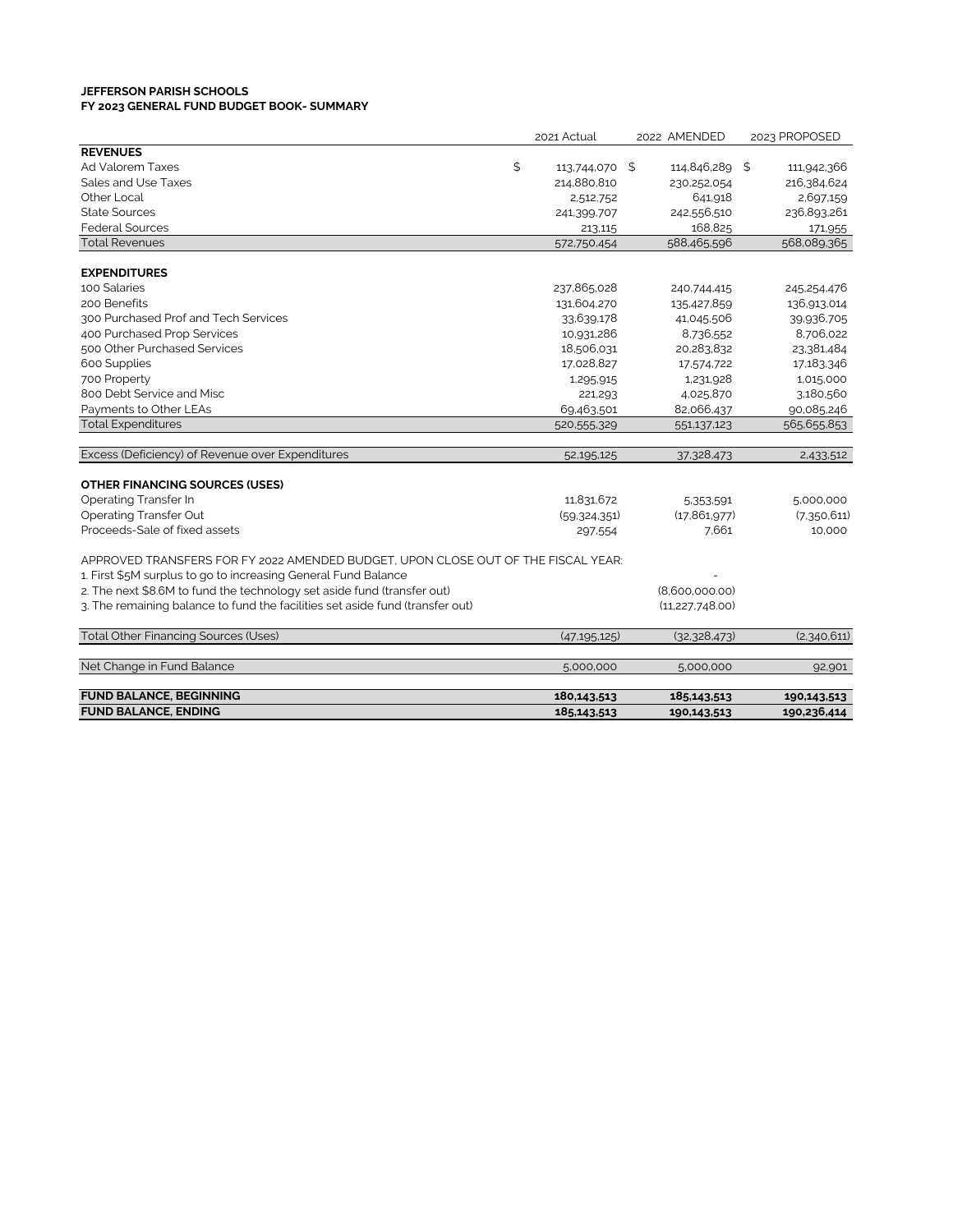### **JEFFERSON PARISH SCHOOLS FY 2023 GENERAL FUND BUDGET BOOK- SUMMARY**

|                                                                                   | 2021 Actual          | 2022 AMENDED      | 2023 PROPOSED |
|-----------------------------------------------------------------------------------|----------------------|-------------------|---------------|
| <b>REVENUES</b>                                                                   |                      |                   |               |
| Ad Valorem Taxes                                                                  | \$<br>113,744,070 \$ | 114,846,289 \$    | 111,942,366   |
| Sales and Use Taxes                                                               | 214,880,810          | 230,252,054       | 216,384,624   |
| Other Local                                                                       | 2,512,752            | 641,918           | 2,697,159     |
| <b>State Sources</b>                                                              | 241,399,707          | 242,556,510       | 236,893,261   |
| <b>Federal Sources</b>                                                            | 213,115              | 168,825           | 171,955       |
| <b>Total Revenues</b>                                                             | 572,750,454          | 588,465,596       | 568,089,365   |
|                                                                                   |                      |                   |               |
| <b>EXPENDITURES</b>                                                               |                      |                   |               |
| 100 Salaries                                                                      | 237,865,028          | 240,744,415       | 245,254,476   |
| 200 Benefits                                                                      | 131,604,270          | 135,427,859       | 136,913,014   |
| 300 Purchased Prof and Tech Services                                              | 33,639,178           | 41,045,506        | 39,936,705    |
| 400 Purchased Prop Services                                                       | 10,931,286           | 8,736,552         | 8,706,022     |
| 500 Other Purchased Services                                                      | 18,506,031           | 20,283,832        | 23,381,484    |
| 600 Supplies                                                                      | 17,028,827           | 17,574,722        | 17,183,346    |
| 700 Property                                                                      | 1,295,915            | 1,231,928         | 1,015,000     |
| 800 Debt Service and Misc                                                         | 221,293              | 4,025,870         | 3,180,560     |
| Payments to Other LEAs                                                            | 69,463,501           | 82,066,437        | 90,085,246    |
| <b>Total Expenditures</b>                                                         | 520,555,329          | 551,137,123       | 565,655,853   |
|                                                                                   |                      |                   |               |
| Excess (Deficiency) of Revenue over Expenditures                                  | 52,195,125           | 37,328,473        | 2,433,512     |
| <b>OTHER FINANCING SOURCES (USES)</b>                                             |                      |                   |               |
| <b>Operating Transfer In</b>                                                      | 11,831,672           | 5,353,591         | 5,000,000     |
| <b>Operating Transfer Out</b>                                                     | (59, 324, 351)       | (17, 861, 977)    | (7,350,611)   |
| Proceeds-Sale of fixed assets                                                     | 297,554              | 7.661             | 10,000        |
|                                                                                   |                      |                   |               |
| APPROVED TRANSFERS FOR FY 2022 AMENDED BUDGET, UPON CLOSE OUT OF THE FISCAL YEAR: |                      |                   |               |
| 1. First \$5M surplus to go to increasing General Fund Balance                    |                      |                   |               |
| 2. The next \$8.6M to fund the technology set aside fund (transfer out)           |                      | (8,600,000.00)    |               |
| 3. The remaining balance to fund the facilities set aside fund (transfer out)     |                      | (11, 227, 748.00) |               |
|                                                                                   |                      |                   |               |
| <b>Total Other Financing Sources (Uses)</b>                                       | (47, 195, 125)       | (32,328,473)      | (2,340,611)   |
|                                                                                   |                      |                   |               |
| Net Change in Fund Balance                                                        | 5,000,000            | 5,000,000         | 92,901        |
| <b>FUND BALANCE, BEGINNING</b>                                                    | 180,143,513          | 185,143,513       | 190,143,513   |
| <b>FUND BALANCE, ENDING</b>                                                       | 185,143,513          | 190,143,513       | 190,236,414   |
|                                                                                   |                      |                   |               |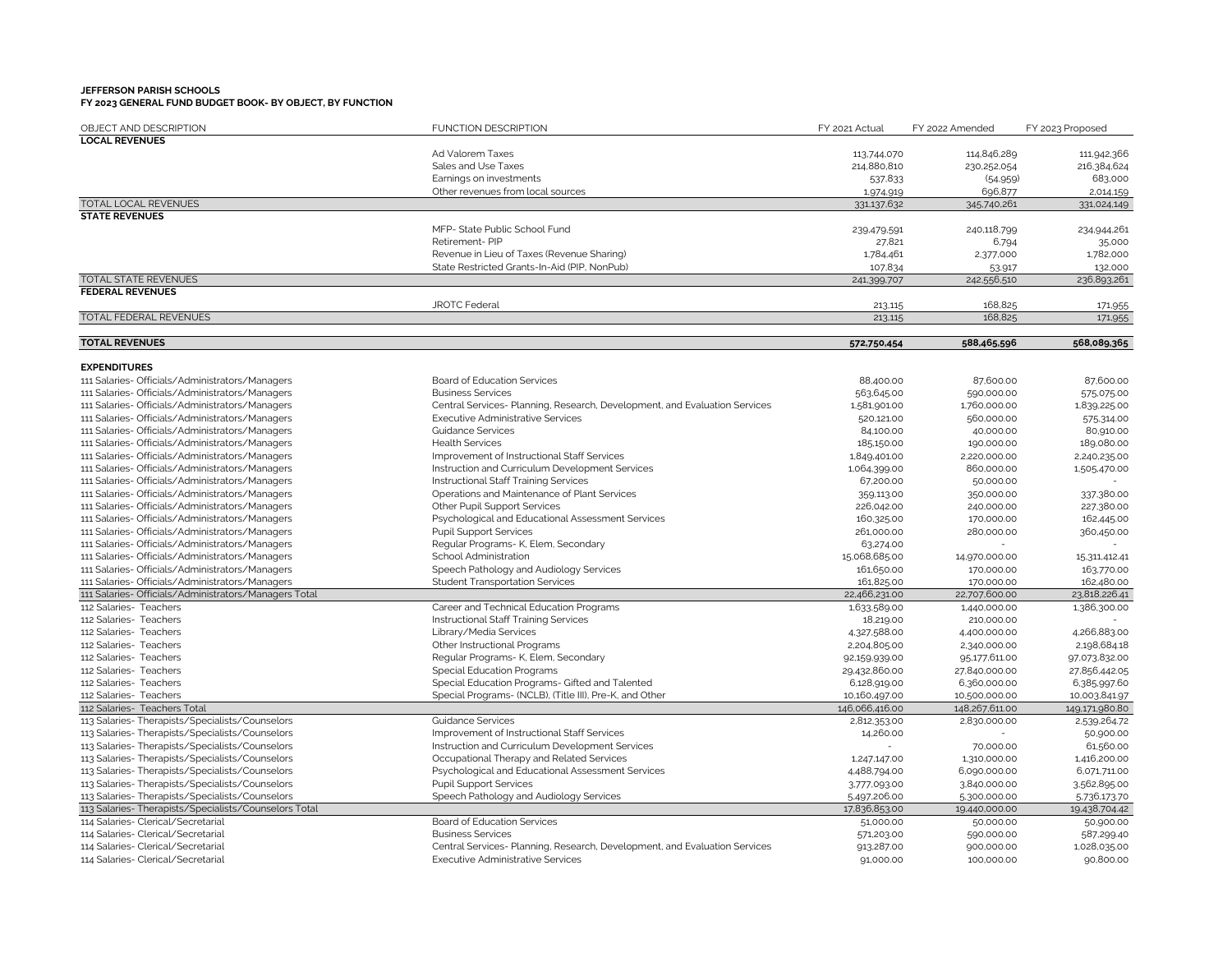| OBJECT AND DESCRIPTION                                | <b>FUNCTION DESCRIPTION</b>                                                | FY 2021 Actual | FY 2022 Amended | FY 2023 Proposed |
|-------------------------------------------------------|----------------------------------------------------------------------------|----------------|-----------------|------------------|
| <b>LOCAL REVENUES</b>                                 |                                                                            |                |                 |                  |
|                                                       | Ad Valorem Taxes                                                           | 113,744,070    | 114,846,289     | 111,942,366      |
|                                                       | Sales and Use Taxes                                                        | 214,880,810    | 230,252,054     | 216,384,624      |
|                                                       | Earnings on investments                                                    | 537,833        | (54,959)        | 683,000          |
|                                                       | Other revenues from local sources                                          | 1,974,919      | 696,877         | 2,014,159        |
| TOTAL LOCAL REVENUES                                  |                                                                            | 331,137,632    | 345,740,261     | 331,024,149      |
| <b>STATE REVENUES</b>                                 |                                                                            |                |                 |                  |
|                                                       | MFP- State Public School Fund                                              | 239.479.591    | 240,118,799     | 234,944,261      |
|                                                       | Retirement-PIP                                                             | 27,821         | 6,794           | 35,000           |
|                                                       | Revenue in Lieu of Taxes (Revenue Sharing)                                 | 1,784,461      | 2,377,000       | 1,782,000        |
|                                                       | State Restricted Grants-In-Aid (PIP, NonPub)                               | 107,834        | 53,917          | 132,000          |
| <b>TOTAL STATE REVENUES</b>                           |                                                                            | 241,399,707    | 242,556,510     | 236,893,261      |
| <b>FEDERAL REVENUES</b>                               |                                                                            |                |                 |                  |
|                                                       | <b>JROTC Federal</b>                                                       | 213,115        | 168,825         | 171,955          |
| TOTAL FEDERAL REVENUES                                |                                                                            | 213,115        | 168,825         | 171,955          |
|                                                       |                                                                            |                |                 |                  |
| <b>TOTAL REVENUES</b>                                 |                                                                            | 572,750,454    | 588,465,596     | 568,089,365      |
| <b>EXPENDITURES</b>                                   |                                                                            |                |                 |                  |
| 111 Salaries- Officials/Administrators/Managers       | Board of Education Services                                                | 88,400.00      | 87,600.00       | 87,600.00        |
| 111 Salaries- Officials/Administrators/Managers       | <b>Business Services</b>                                                   | 563,645.00     | 590,000.00      | 575,075.00       |
| 111 Salaries- Officials/Administrators/Managers       | Central Services- Planning, Research, Development, and Evaluation Services | 1,581,901.00   | 1,760,000.00    | 1,839,225.00     |
| 111 Salaries- Officials/Administrators/Managers       | <b>Executive Administrative Services</b>                                   | 520,121.00     | 560,000.00      | 575,314.00       |
| 111 Salaries- Officials/Administrators/Managers       | <b>Guidance Services</b>                                                   | 84,100.00      | 40,000.00       | 80,910.00        |
| 111 Salaries- Officials/Administrators/Managers       | <b>Health Services</b>                                                     | 185,150.00     | 190,000.00      | 189,080.00       |
| 111 Salaries- Officials/Administrators/Managers       | Improvement of Instructional Staff Services                                | 1,849,401.00   | 2,220,000.00    | 2,240,235.00     |
| 111 Salaries- Officials/Administrators/Managers       | Instruction and Curriculum Development Services                            | 1,064,399.00   | 860,000.00      | 1,505,470.00     |
| 111 Salaries- Officials/Administrators/Managers       | Instructional Staff Training Services                                      | 67,200.00      | 50,000.00       |                  |
| 111 Salaries- Officials/Administrators/Managers       | Operations and Maintenance of Plant Services                               | 359,113.00     | 350,000.00      | 337,380.00       |
| 111 Salaries- Officials/Administrators/Managers       | Other Pupil Support Services                                               | 226,042.00     | 240,000.00      | 227,380.00       |
| 111 Salaries- Officials/Administrators/Managers       | Psychological and Educational Assessment Services                          | 160,325.00     | 170,000.00      | 162,445.00       |
| 111 Salaries- Officials/Administrators/Managers       | <b>Pupil Support Services</b>                                              | 261,000.00     | 280,000.00      | 360,450.00       |
| 111 Salaries- Officials/Administrators/Managers       | Regular Programs- K, Elem, Secondary                                       | 63,274.00      |                 |                  |
| 111 Salaries- Officials/Administrators/Managers       | School Administration                                                      | 15,068,685.00  | 14,970,000.00   | 15,311,412.41    |
| 111 Salaries- Officials/Administrators/Managers       | Speech Pathology and Audiology Services                                    | 161,650.00     | 170,000.00      | 163.770.00       |
| 111 Salaries- Officials/Administrators/Managers       | <b>Student Transportation Services</b>                                     | 161,825.00     | 170,000.00      | 162,480.00       |
| 111 Salaries- Officials/Administrators/Managers Total |                                                                            | 22,466,231.00  | 22,707,600.00   | 23,818,226.41    |
| 112 Salaries- Teachers                                | Career and Technical Education Programs                                    | 1,633.589.00   | 1,440,000.00    | 1,386,300.00     |
| 112 Salaries- Teachers                                | Instructional Staff Training Services                                      | 18,219.00      | 210,000.00      |                  |
| 112 Salaries- Teachers                                | Library/Media Services                                                     | 4,327,588.00   | 4,400,000.00    | 4,266,883.00     |
| 112 Salaries- Teachers                                | Other Instructional Programs                                               | 2,204,805.00   | 2,340,000.00    | 2,198,684.18     |
| 112 Salaries- Teachers                                | Regular Programs- K, Elem, Secondary                                       | 92,159,939.00  | 95,177,611.00   | 97,073,832.00    |
| 112 Salaries- Teachers                                | <b>Special Education Programs</b>                                          | 29,432,860.00  | 27,840,000.00   | 27,856,442.05    |
| 112 Salaries- Teachers                                | Special Education Programs- Gifted and Talented                            | 6,128,919.00   | 6,360,000.00    | 6,385,997.60     |
| 112 Salaries- Teachers                                | Special Programs- (NCLB), (Title III), Pre-K, and Other                    | 10,160,497.00  | 10,500,000.00   | 10,003,841.97    |
| 112 Salaries- Teachers Total                          |                                                                            | 146,066,416.00 | 148,267,611.00  | 149,171,980.80   |
| 113 Salaries-Therapists/Specialists/Counselors        | <b>Guidance Services</b>                                                   | 2,812,353.00   | 2,830,000.00    | 2,539,264.72     |
| 113 Salaries-Therapists/Specialists/Counselors        | Improvement of Instructional Staff Services                                | 14,260.00      |                 | 50,900.00        |
| 113 Salaries-Therapists/Specialists/Counselors        | Instruction and Curriculum Development Services                            |                | 70,000.00       | 61,560.00        |
| 113 Salaries-Therapists/Specialists/Counselors        | Occupational Therapy and Related Services                                  | 1,247,147.00   | 1,310,000.00    | 1,416,200.00     |
| 113 Salaries-Therapists/Specialists/Counselors        | Psychological and Educational Assessment Services                          | 4,488,794.00   | 6,090,000.00    | 6,071,711.00     |
| 113 Salaries- Therapists/Specialists/Counselors       | <b>Pupil Support Services</b>                                              | 3,777,093.00   | 3,840,000.00    | 3.562,895.00     |
| 113 Salaries- Therapists/Specialists/Counselors       | Speech Pathology and Audiology Services                                    | 5,497,206.00   | 5,300,000.00    | 5.736,173.70     |
| 113 Salaries- Therapists/Specialists/Counselors Total |                                                                            | 17,836,853.00  | 19,440,000.00   | 19,438,704.42    |
| 114 Salaries- Clerical/Secretarial                    | <b>Board of Education Services</b>                                         | 51,000.00      | 50,000.00       | 50,900.00        |
| 114 Salaries- Clerical/Secretarial                    | <b>Business Services</b>                                                   | 571,203.00     | 590,000.00      | 587,299.40       |
| 114 Salaries- Clerical/Secretarial                    | Central Services- Planning, Research, Development, and Evaluation Services | 913,287.00     | 900,000.00      | 1,028,035.00     |
| 114 Salaries- Clerical/Secretarial                    | <b>Executive Administrative Services</b>                                   | 91,000.00      | 100,000.00      | 90,800.00        |
|                                                       |                                                                            |                |                 |                  |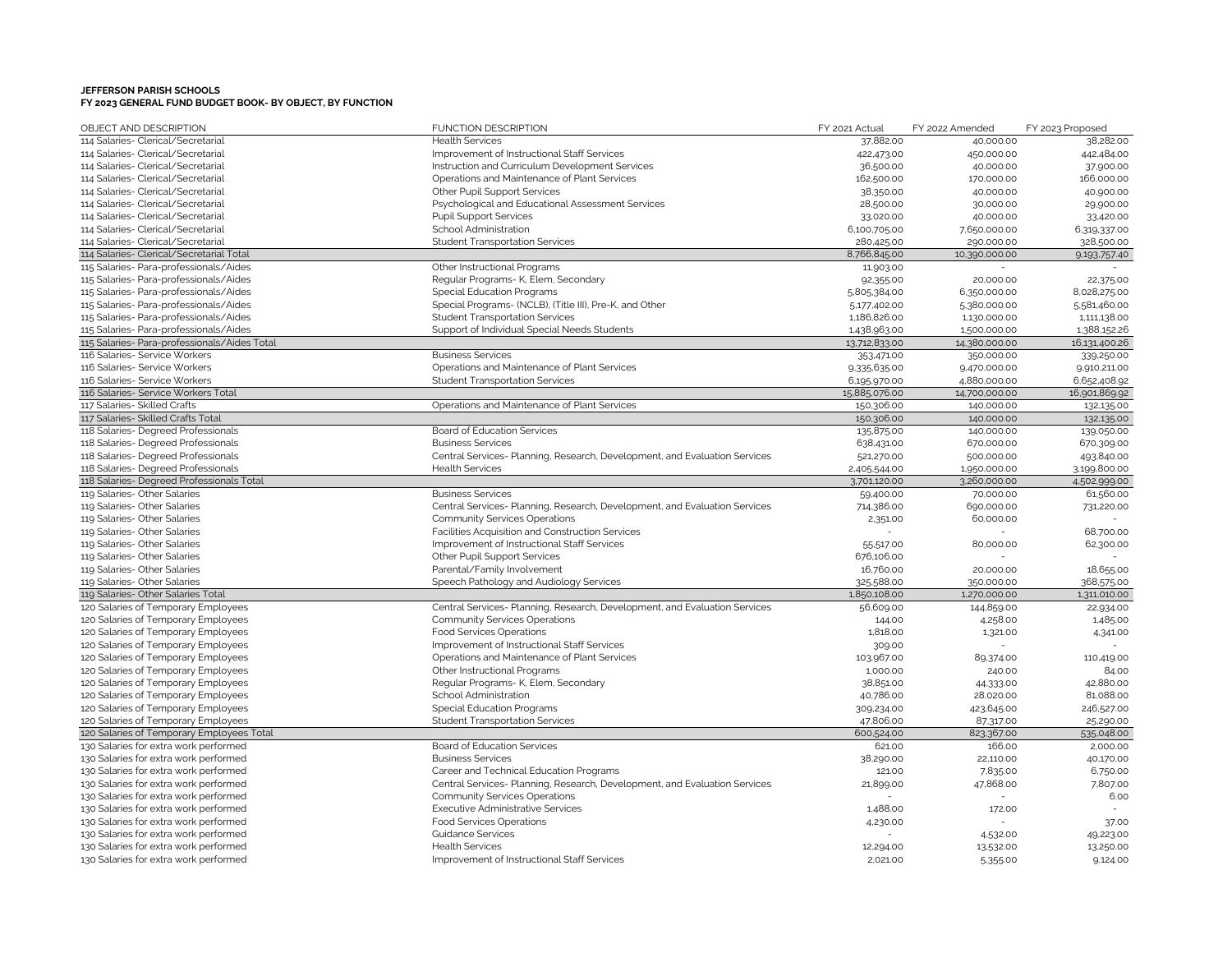| OBJECT AND DESCRIPTION                       | <b>FUNCTION DESCRIPTION</b>                                                | FY 2021 Actual       | FY 2022 Amended      | FY 2023 Proposed       |
|----------------------------------------------|----------------------------------------------------------------------------|----------------------|----------------------|------------------------|
| 114 Salaries- Clerical/Secretarial           | <b>Health Services</b>                                                     | 37,882.00            | 40,000.00            | 38,282.00              |
| 114 Salaries- Clerical/Secretarial           | Improvement of Instructional Staff Services                                | 422,473.00           | 450,000.00           | 442,484.00             |
| 114 Salaries- Clerical/Secretarial           | Instruction and Curriculum Development Services                            | 36,500.00            | 40,000.00            | 37,900.00              |
| 114 Salaries- Clerical/Secretarial           | Operations and Maintenance of Plant Services                               | 162,500.00           | 170,000.00           | 166,000.00             |
| 114 Salaries- Clerical/Secretarial           | Other Pupil Support Services                                               | 38,350.00            | 40,000.00            | 40,900.00              |
| 114 Salaries- Clerical/Secretarial           | Psychological and Educational Assessment Services                          | 28,500.00            | 30,000.00            | 29,900.00              |
| 114 Salaries- Clerical/Secretarial           | <b>Pupil Support Services</b>                                              | 33,020.00            | 40,000.00            | 33,420.00              |
| 114 Salaries- Clerical/Secretarial           | School Administration                                                      | 6,100,705.00         | 7,650,000.00         | 6,319,337.00           |
| 114 Salaries- Clerical/Secretarial           | <b>Student Transportation Services</b>                                     | 280,425.00           | 290,000.00           | 328,500.00             |
| 114 Salaries- Clerical/Secretarial Total     |                                                                            | 8,766,845.00         | 10,390,000.00        | 9,193,757.40           |
| 115 Salaries- Para-professionals/Aides       | Other Instructional Programs                                               | 11,903.00            |                      |                        |
| 115 Salaries- Para-professionals/Aides       | Regular Programs- K, Elem, Secondary                                       | 92,355.00            | 20,000.00            | 22,375.00              |
| 115 Salaries- Para-professionals/Aides       | <b>Special Education Programs</b>                                          | 5,805,384.00         | 6,350,000.00         | 8,028,275.00           |
| 115 Salaries- Para-professionals/Aides       | Special Programs- (NCLB), (Title III), Pre-K, and Other                    | 5,177,402.00         | 5,380,000.00         | 5,581,460.00           |
| 115 Salaries- Para-professionals/Aides       | <b>Student Transportation Services</b>                                     | 1,186,826.00         | 1,130,000.00         | 1,111,138.00           |
| 115 Salaries- Para-professionals/Aides       | Support of Individual Special Needs Students                               | 1,438,963.00         | 1,500,000.00         | 1,388,152.26           |
| 115 Salaries- Para-professionals/Aides Total |                                                                            | 13,712,833.00        | 14,380,000.00        | 16,131,400.26          |
| 116 Salaries- Service Workers                | <b>Business Services</b>                                                   | 353,471.00           | 350,000.00           | 339,250.00             |
| 116 Salaries- Service Workers                | Operations and Maintenance of Plant Services                               | 9,335,635.00         | 9,470,000.00         | 9,910,211.00           |
| 116 Salaries- Service Workers                | <b>Student Transportation Services</b>                                     | 6,195,970.00         | 4,880,000.00         | 6,652,408.92           |
| 116 Salaries- Service Workers Total          |                                                                            | 15,885,076.00        | 14,700,000.00        | 16,901,869.92          |
| 117 Salaries- Skilled Crafts                 | Operations and Maintenance of Plant Services                               | 150,306.00           | 140,000.00           | 132,135.00             |
| 117 Salaries- Skilled Crafts Total           |                                                                            | 150,306.00           | 140,000.00           | 132,135.00             |
| 118 Salaries- Degreed Professionals          | Board of Education Services                                                | 135,875.00           | 140,000.00           | 139,050.00             |
| 118 Salaries- Degreed Professionals          | <b>Business Services</b>                                                   | 638,431.00           | 670,000.00           | 670,309.00             |
| 118 Salaries- Degreed Professionals          | Central Services- Planning, Research, Development, and Evaluation Services | 521,270.00           | 500,000.00           | 493,840.00             |
| 118 Salaries- Degreed Professionals          | <b>Health Services</b>                                                     | 2,405,544.00         | 1,950,000.00         | 3,199,800.00           |
| 118 Salaries- Degreed Professionals Total    |                                                                            | 3,701,120.00         | 3,260,000.00         | 4,502,999.00           |
| 119 Salaries- Other Salaries                 | <b>Business Services</b>                                                   | 59,400.00            | 70,000.00            | 61,560.00              |
| 119 Salaries- Other Salaries                 | Central Services- Planning, Research, Development, and Evaluation Services | 714,386.00           | 690,000.00           | 731,220.00             |
| 119 Salaries- Other Salaries                 | <b>Community Services Operations</b>                                       | 2,351.00             | 60,000.00            |                        |
| 119 Salaries- Other Salaries                 | Facilities Acquisition and Construction Services                           |                      |                      | 68,700.00              |
| 119 Salaries- Other Salaries                 | Improvement of Instructional Staff Services                                | 55,517.00            | 80,000.00            | 62,300.00              |
| 119 Salaries- Other Salaries                 | Other Pupil Support Services                                               | 676,106.00           |                      |                        |
| 119 Salaries- Other Salaries                 | Parental/Family Involvement                                                | 16,760.00            | 20,000.00            | 18,655.00              |
| 119 Salaries- Other Salaries                 | Speech Pathology and Audiology Services                                    | 325,588.00           | 350,000.00           | 368,575.00             |
| 119 Salaries- Other Salaries Total           |                                                                            | 1,850,108.00         | 1,270,000.00         | 1,311,010.00           |
| 120 Salaries of Temporary Employees          | Central Services- Planning, Research, Development, and Evaluation Services | 56,609.00            | 144,859.00           | 22,934.00              |
| 120 Salaries of Temporary Employees          | <b>Community Services Operations</b>                                       | 144.00               | 4,258.00             | 1,485.00               |
| 120 Salaries of Temporary Employees          | <b>Food Services Operations</b>                                            | 1,818.00             | 1,321.00             | 4,341.00               |
| 120 Salaries of Temporary Employees          | Improvement of Instructional Staff Services                                | 309.00               |                      |                        |
| 120 Salaries of Temporary Employees          | Operations and Maintenance of Plant Services                               | 103,967.00           |                      |                        |
| 120 Salaries of Temporary Employees          | Other Instructional Programs                                               | 1,000.00             | 89,374.00            | 110,419.00<br>84.00    |
|                                              |                                                                            |                      | 240.00               |                        |
| 120 Salaries of Temporary Employees          | Regular Programs- K, Elem, Secondary                                       | 38,851.00            | 44,333.00            | 42,880.00              |
| 120 Salaries of Temporary Employees          | School Administration                                                      | 40,786.00            | 28,020.00            | 81,088.00              |
| 120 Salaries of Temporary Employees          | <b>Special Education Programs</b>                                          | 309,234.00           | 423,645.00           | 246,527.00             |
| 120 Salaries of Temporary Employees          | <b>Student Transportation Services</b>                                     | 47,806.00            | 87,317.00            | 25,290.00              |
| 120 Salaries of Temporary Employees Total    | Board of Education Services                                                | 600,524.00<br>621.00 | 823,367.00<br>166.00 | 535,048.00<br>2,000.00 |
| 130 Salaries for extra work performed        |                                                                            |                      |                      |                        |
| 130 Salaries for extra work performed        | <b>Business Services</b>                                                   | 38,290.00            | 22,110.00            | 40,170.00              |
| 130 Salaries for extra work performed        | Career and Technical Education Programs                                    | 121.00               | 7,835.00             | 6,750.00               |
| 130 Salaries for extra work performed        | Central Services- Planning, Research, Development, and Evaluation Services | 21,899.00            | 47,868.00            | 7,807.00               |
| 130 Salaries for extra work performed        | <b>Community Services Operations</b>                                       |                      |                      | 6.00                   |
| 130 Salaries for extra work performed        | <b>Executive Administrative Services</b>                                   | 1,488.00             | 172.00               |                        |
| 130 Salaries for extra work performed        | <b>Food Services Operations</b>                                            | 4,230.00             |                      | 37.00                  |
| 130 Salaries for extra work performed        | <b>Guidance Services</b>                                                   |                      | 4,532.00             | 49,223.00              |
| 130 Salaries for extra work performed        | <b>Health Services</b>                                                     | 12,294.00            | 13,532.00            | 13,250.00              |
| 130 Salaries for extra work performed        | Improvement of Instructional Staff Services                                | 2,021.00             | 5,355.00             | 9,124.00               |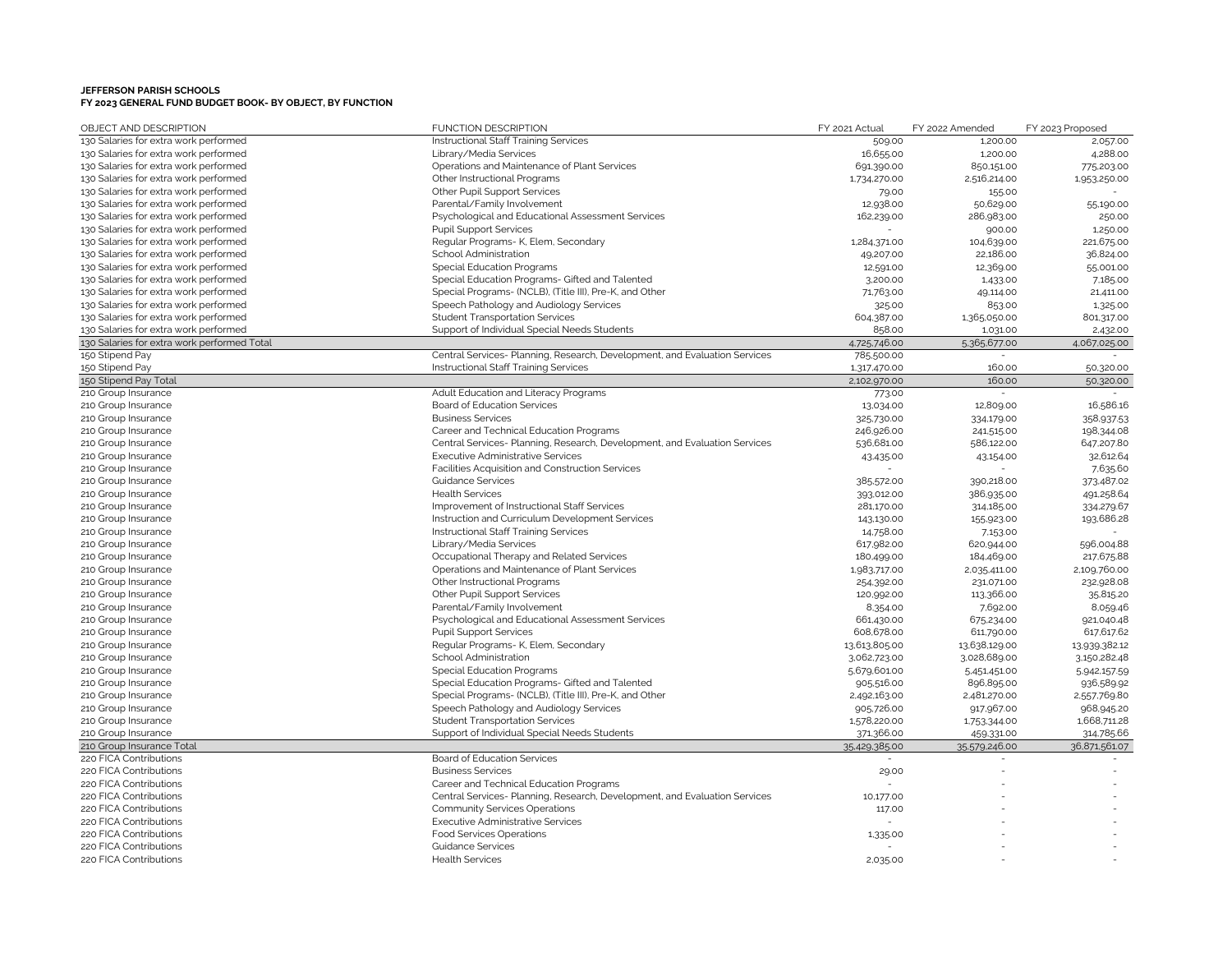| OBJECT AND DESCRIPTION                      | <b>FUNCTION DESCRIPTION</b>                                                | FY 2021 Actual | FY 2022 Amended | FY 2023 Proposed |
|---------------------------------------------|----------------------------------------------------------------------------|----------------|-----------------|------------------|
| 130 Salaries for extra work performed       | Instructional Staff Training Services                                      | 509.00         | 1,200.00        | 2,057.00         |
| 130 Salaries for extra work performed       | Library/Media Services                                                     | 16,655.00      | 1,200.00        | 4,288.00         |
| 130 Salaries for extra work performed       | Operations and Maintenance of Plant Services                               | 691,390.00     | 850,151.00      | 775,203.00       |
| 130 Salaries for extra work performed       | Other Instructional Programs                                               | 1,734,270.00   | 2,516,214.00    | 1,953,250.00     |
| 130 Salaries for extra work performed       | <b>Other Pupil Support Services</b>                                        | 79.00          | 155.00          |                  |
| 130 Salaries for extra work performed       | Parental/Family Involvement                                                | 12,938.00      | 50,629.00       | 55,190.00        |
| 130 Salaries for extra work performed       | Psychological and Educational Assessment Services                          | 162,239.00     | 286,983.00      | 250.00           |
| 130 Salaries for extra work performed       | <b>Pupil Support Services</b>                                              |                | 900.00          | 1,250.00         |
| 130 Salaries for extra work performed       | Regular Programs- K, Elem, Secondary                                       | 1,284,371.00   | 104,639.00      | 221,675.00       |
| 130 Salaries for extra work performed       | School Administration                                                      | 49,207.00      | 22,186.00       | 36,824.00        |
| 130 Salaries for extra work performed       | <b>Special Education Programs</b>                                          | 12,591.00      | 12,369.00       | 55,001.00        |
| 130 Salaries for extra work performed       | Special Education Programs- Gifted and Talented                            | 3,200.00       | 1,433.00        | 7,185.00         |
| 130 Salaries for extra work performed       | Special Programs- (NCLB), (Title III), Pre-K, and Other                    | 71,763.00      | 49,114.00       | 21,411.00        |
| 130 Salaries for extra work performed       | Speech Pathology and Audiology Services                                    | 325.00         | 853.00          | 1,325.00         |
| 130 Salaries for extra work performed       | <b>Student Transportation Services</b>                                     | 604,387.00     | 1,365,050.00    | 801,317.00       |
| 130 Salaries for extra work performed       | Support of Individual Special Needs Students                               | 858.00         | 1,031.00        | 2,432.00         |
| 130 Salaries for extra work performed Total |                                                                            | 4.725.746.00   | 5,365,677.00    | 4,067,025.00     |
| 150 Stipend Pay                             | Central Services- Planning, Research, Development, and Evaluation Services | 785,500.00     |                 |                  |
| 150 Stipend Pay                             | Instructional Staff Training Services                                      | 1,317,470.00   | 160.00          | 50,320.00        |
| 150 Stipend Pay Total                       |                                                                            | 2,102,970.00   | 160.00          | 50,320.00        |
| 210 Group Insurance                         | Adult Education and Literacy Programs                                      | 773.00         |                 |                  |
| 210 Group Insurance                         | Board of Education Services                                                | 13,034.00      | 12,809.00       | 16,586.16        |
| 210 Group Insurance                         | <b>Business Services</b>                                                   | 325,730.00     | 334,179.00      | 358,937.53       |
| 210 Group Insurance                         | Career and Technical Education Programs                                    | 246,926.00     | 241,515.00      | 198,344.08       |
| 210 Group Insurance                         | Central Services- Planning, Research, Development, and Evaluation Services | 536,681.00     | 586,122.00      | 647,207.80       |
| 210 Group Insurance                         | <b>Executive Administrative Services</b>                                   | 43,435.00      | 43,154.00       | 32,612.64        |
| 210 Group Insurance                         | Facilities Acquisition and Construction Services                           |                |                 | 7,635.60         |
| 210 Group Insurance                         | <b>Guidance Services</b>                                                   | 385,572.00     | 390,218.00      | 373,487.02       |
| 210 Group Insurance                         | <b>Health Services</b>                                                     | 393,012.00     | 386,935.00      | 491,258.64       |
| 210 Group Insurance                         | Improvement of Instructional Staff Services                                | 281,170.00     | 314,185.00      | 334,279.67       |
| 210 Group Insurance                         | Instruction and Curriculum Development Services                            | 143,130.00     | 155,923.00      | 193,686.28       |
| 210 Group Insurance                         | Instructional Staff Training Services                                      | 14,758.00      | 7,153.00        |                  |
| 210 Group Insurance                         | Library/Media Services                                                     | 617,982.00     | 620,944.00      | 596,004.88       |
| 210 Group Insurance                         | Occupational Therapy and Related Services                                  | 180,499.00     | 184,469.00      | 217,675.88       |
| 210 Group Insurance                         | Operations and Maintenance of Plant Services                               | 1,983,717.00   | 2,035,411.00    | 2,109,760.00     |
| 210 Group Insurance                         | Other Instructional Programs                                               | 254,392.00     | 231,071.00      | 232,928.08       |
| 210 Group Insurance                         | Other Pupil Support Services                                               | 120,992.00     | 113,366.00      | 35,815.20        |
| 210 Group Insurance                         | Parental/Family Involvement                                                | 8,354.00       | 7,692.00        | 8,059.46         |
| 210 Group Insurance                         | Psychological and Educational Assessment Services                          | 661,430.00     | 675,234.00      | 921,040.48       |
| 210 Group Insurance                         | <b>Pupil Support Services</b>                                              | 608,678.00     | 611,790.00      | 617,617.62       |
| 210 Group Insurance                         | Regular Programs- K, Elem, Secondary                                       | 13,613,805.00  | 13,638,129.00   | 13,939,382.12    |
| 210 Group Insurance                         | School Administration                                                      | 3,062,723.00   | 3,028,689.00    | 3,150,282.48     |
| 210 Group Insurance                         | <b>Special Education Programs</b>                                          | 5,679,601.00   | 5,451,451.00    | 5.942,157.59     |
| 210 Group Insurance                         | Special Education Programs- Gifted and Talented                            | 905,516.00     | 896,895.00      | 936,589.92       |
| 210 Group Insurance                         | Special Programs- (NCLB), (Title III), Pre-K, and Other                    | 2,492,163.00   | 2,481,270.00    | 2,557,769.80     |
| 210 Group Insurance                         | Speech Pathology and Audiology Services                                    | 905.726.00     | 917,967.00      | 968,945.20       |
| 210 Group Insurance                         | <b>Student Transportation Services</b>                                     | 1,578,220.00   | 1,753,344.00    | 1,668,711.28     |
| 210 Group Insurance                         | Support of Individual Special Needs Students                               | 371,366.00     | 459,331.00      | 314.785.66       |
| 210 Group Insurance Total                   |                                                                            | 35,429,385.00  | 35.579.246.00   | 36,871,561.07    |
| 220 FICA Contributions                      | Board of Education Services                                                |                |                 |                  |
| 220 FICA Contributions                      | <b>Business Services</b>                                                   | 29.00          |                 |                  |
| 220 FICA Contributions                      | Career and Technical Education Programs                                    |                |                 |                  |
| 220 FICA Contributions                      | Central Services- Planning, Research, Development, and Evaluation Services | 10,177.00      |                 |                  |
| 220 FICA Contributions                      | <b>Community Services Operations</b>                                       | 117.00         |                 |                  |
| 220 FICA Contributions                      | <b>Executive Administrative Services</b>                                   |                |                 |                  |
| 220 FICA Contributions                      | <b>Food Services Operations</b>                                            | 1,335.00       |                 |                  |
| 220 FICA Contributions                      | <b>Guidance Services</b>                                                   |                |                 |                  |
| 220 FICA Contributions                      | <b>Health Services</b>                                                     | 2,035.00       |                 |                  |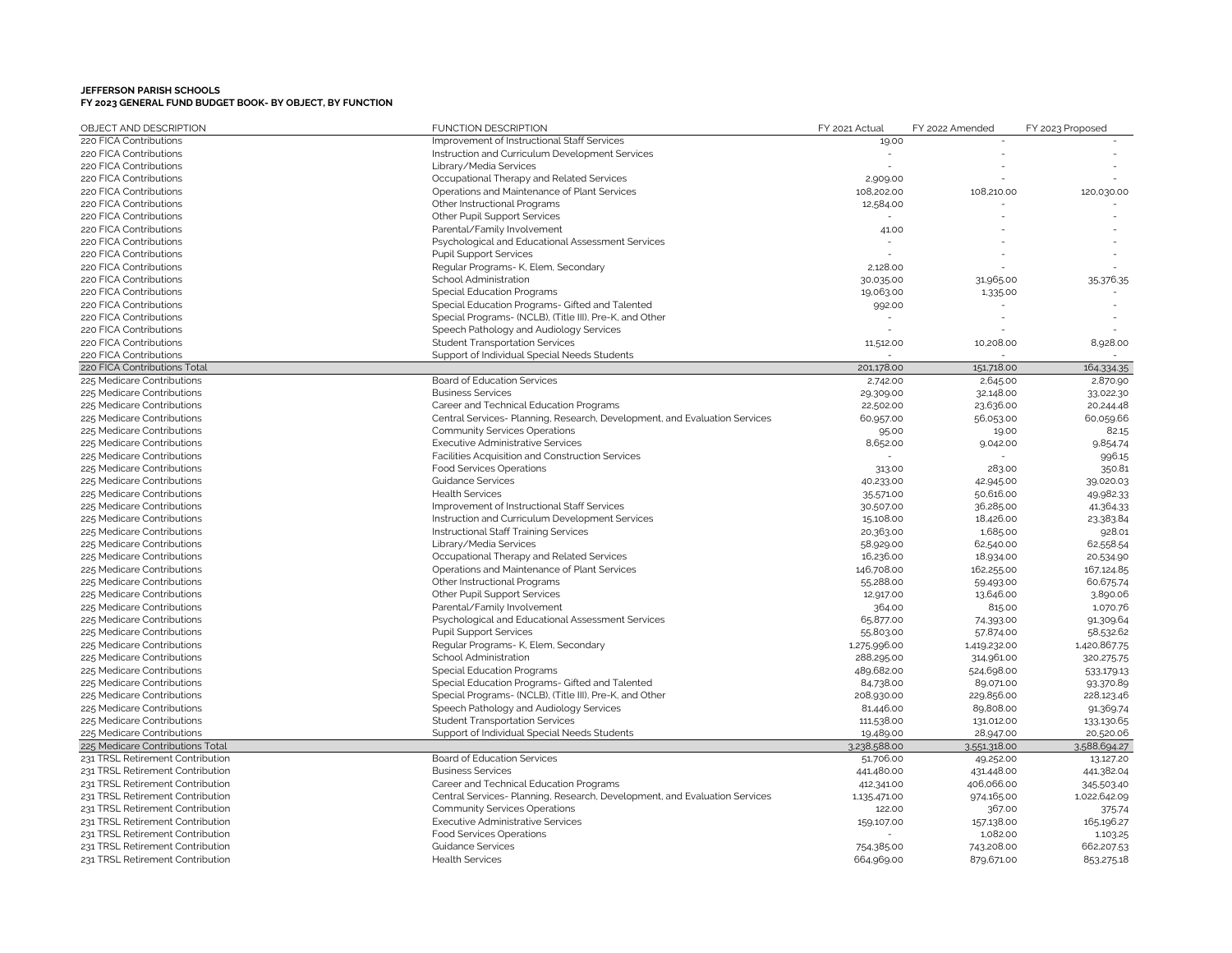| OBJECT AND DESCRIPTION           | <b>FUNCTION DESCRIPTION</b>                                                | FY 2021 Actual | FY 2022 Amended | FY 2023 Proposed |
|----------------------------------|----------------------------------------------------------------------------|----------------|-----------------|------------------|
| 220 FICA Contributions           | Improvement of Instructional Staff Services                                | 19.00          |                 |                  |
| 220 FICA Contributions           | Instruction and Curriculum Development Services                            |                |                 |                  |
| 220 FICA Contributions           | Library/Media Services                                                     |                |                 |                  |
| 220 FICA Contributions           | Occupational Therapy and Related Services                                  | 2,909.00       |                 |                  |
| 220 FICA Contributions           | Operations and Maintenance of Plant Services                               | 108,202.00     | 108,210.00      | 120,030.00       |
| 220 FICA Contributions           | Other Instructional Programs                                               | 12,584.00      |                 |                  |
| 220 FICA Contributions           | Other Pupil Support Services                                               |                |                 |                  |
| 220 FICA Contributions           | Parental/Family Involvement                                                | 41.00          |                 |                  |
| 220 FICA Contributions           | Psychological and Educational Assessment Services                          |                |                 |                  |
| 220 FICA Contributions           | <b>Pupil Support Services</b>                                              |                |                 |                  |
| 220 FICA Contributions           | Regular Programs- K, Elem, Secondary                                       | 2.128.00       |                 |                  |
| 220 FICA Contributions           | School Administration                                                      | 30,035.00      | 31,965.00       | 35.376.35        |
| 220 FICA Contributions           | <b>Special Education Programs</b>                                          | 19,063.00      | 1,335.00        |                  |
| 220 FICA Contributions           | Special Education Programs- Gifted and Talented                            | 992.00         |                 |                  |
| 220 FICA Contributions           | Special Programs- (NCLB), (Title III), Pre-K, and Other                    |                |                 |                  |
| 220 FICA Contributions           | Speech Pathology and Audiology Services                                    |                |                 |                  |
| 220 FICA Contributions           | <b>Student Transportation Services</b>                                     | 11,512.00      | 10,208.00       | 8,928.00         |
| 220 FICA Contributions           | Support of Individual Special Needs Students                               |                |                 |                  |
| 220 FICA Contributions Total     |                                                                            | 201,178.00     | 151,718.00      | 164,334.35       |
| 225 Medicare Contributions       | Board of Education Services                                                | 2,742.00       | 2,645.00        | 2,870.90         |
| 225 Medicare Contributions       | <b>Business Services</b>                                                   | 29,309.00      | 32,148.00       | 33,022.30        |
| 225 Medicare Contributions       | Career and Technical Education Programs                                    | 22,502.00      | 23,636.00       | 20,244.48        |
| 225 Medicare Contributions       | Central Services- Planning, Research, Development, and Evaluation Services | 60,957.00      | 56,053.00       | 60,059.66        |
| 225 Medicare Contributions       | <b>Community Services Operations</b>                                       | 95.00          | 19.00           | 82.15            |
| 225 Medicare Contributions       | <b>Executive Administrative Services</b>                                   | 8,652.00       | 9,042.00        | 9,854.74         |
| 225 Medicare Contributions       | Facilities Acquisition and Construction Services                           |                |                 | 996.15           |
| 225 Medicare Contributions       | <b>Food Services Operations</b>                                            | 313.00         | 283.00          | 350.81           |
| 225 Medicare Contributions       | <b>Guidance Services</b>                                                   | 40,233.00      | 42,945.00       | 39,020.03        |
| 225 Medicare Contributions       | <b>Health Services</b>                                                     | 35,571.00      | 50,616.00       | 49,982.33        |
| 225 Medicare Contributions       | Improvement of Instructional Staff Services                                | 30,507.00      | 36,285.00       | 41,364.33        |
| 225 Medicare Contributions       | Instruction and Curriculum Development Services                            | 15,108.00      | 18,426.00       | 23,383.84        |
| 225 Medicare Contributions       | Instructional Staff Training Services                                      | 20,363.00      | 1,685.00        | 928.01           |
| 225 Medicare Contributions       | Library/Media Services                                                     | 58,929.00      | 62,540.00       | 62,558.54        |
| 225 Medicare Contributions       | Occupational Therapy and Related Services                                  | 16,236.00      | 18,934.00       | 20,534.90        |
| 225 Medicare Contributions       | Operations and Maintenance of Plant Services                               | 146,708.00     | 162,255.00      | 167,124.85       |
| 225 Medicare Contributions       | Other Instructional Programs                                               | 55,288.00      | 59,493.00       | 60,675.74        |
| 225 Medicare Contributions       | <b>Other Pupil Support Services</b>                                        | 12,917.00      | 13,646.00       | 3,890.06         |
| 225 Medicare Contributions       | Parental/Family Involvement                                                | 364.00         | 815.00          | 1,070.76         |
| 225 Medicare Contributions       | Psychological and Educational Assessment Services                          | 65,877.00      | 74,393.00       | 91,309.64        |
| 225 Medicare Contributions       | <b>Pupil Support Services</b>                                              | 55,803.00      | 57,874.00       | 58,532.62        |
| 225 Medicare Contributions       | Regular Programs- K, Elem, Secondary                                       | 1,275,996.00   | 1,419,232.00    | 1,420,867.75     |
| 225 Medicare Contributions       | School Administration                                                      | 288,295.00     | 314,961.00      | 320,275.75       |
| 225 Medicare Contributions       | <b>Special Education Programs</b>                                          | 489,682.00     | 524,698.00      | 533,179.13       |
| 225 Medicare Contributions       | Special Education Programs- Gifted and Talented                            | 84,738.00      | 89,071.00       | 93,370.89        |
| 225 Medicare Contributions       | Special Programs- (NCLB), (Title III), Pre-K, and Other                    | 208,930.00     | 229,856.00      | 228,123.46       |
| 225 Medicare Contributions       | Speech Pathology and Audiology Services                                    | 81,446.00      | 89,808.00       | 91,369.74        |
| 225 Medicare Contributions       | <b>Student Transportation Services</b>                                     | 111,538.00     | 131,012.00      | 133,130.65       |
| 225 Medicare Contributions       | Support of Individual Special Needs Students                               | 19,489.00      | 28,947.00       | 20,520.06        |
| 225 Medicare Contributions Total |                                                                            | 3,238,588.00   | 3,551,318.00    | 3.588,694.27     |
| 231 TRSL Retirement Contribution | <b>Board of Education Services</b>                                         | 51,706.00      | 49,252.00       | 13,127.20        |
| 231 TRSL Retirement Contribution | <b>Business Services</b>                                                   | 441,480.00     | 431,448.00      | 441,382.04       |
| 231 TRSL Retirement Contribution | Career and Technical Education Programs                                    | 412,341.00     | 406,066.00      | 345,503.40       |
| 231 TRSL Retirement Contribution | Central Services- Planning, Research, Development, and Evaluation Services | 1,135,471.00   | 974,165.00      | 1,022,642.09     |
| 231 TRSL Retirement Contribution | <b>Community Services Operations</b>                                       | 122.00         | 367.00          | 375.74           |
| 231 TRSL Retirement Contribution | <b>Executive Administrative Services</b>                                   | 159,107.00     | 157,138.00      | 165,196.27       |
| 231 TRSL Retirement Contribution | <b>Food Services Operations</b>                                            |                | 1,082.00        | 1,103.25         |
| 231 TRSL Retirement Contribution | <b>Guidance Services</b>                                                   | 754,385.00     | 743,208.00      | 662,207.53       |
| 231 TRSL Retirement Contribution | <b>Health Services</b>                                                     | 664,969.00     | 879,671.00      | 853,275.18       |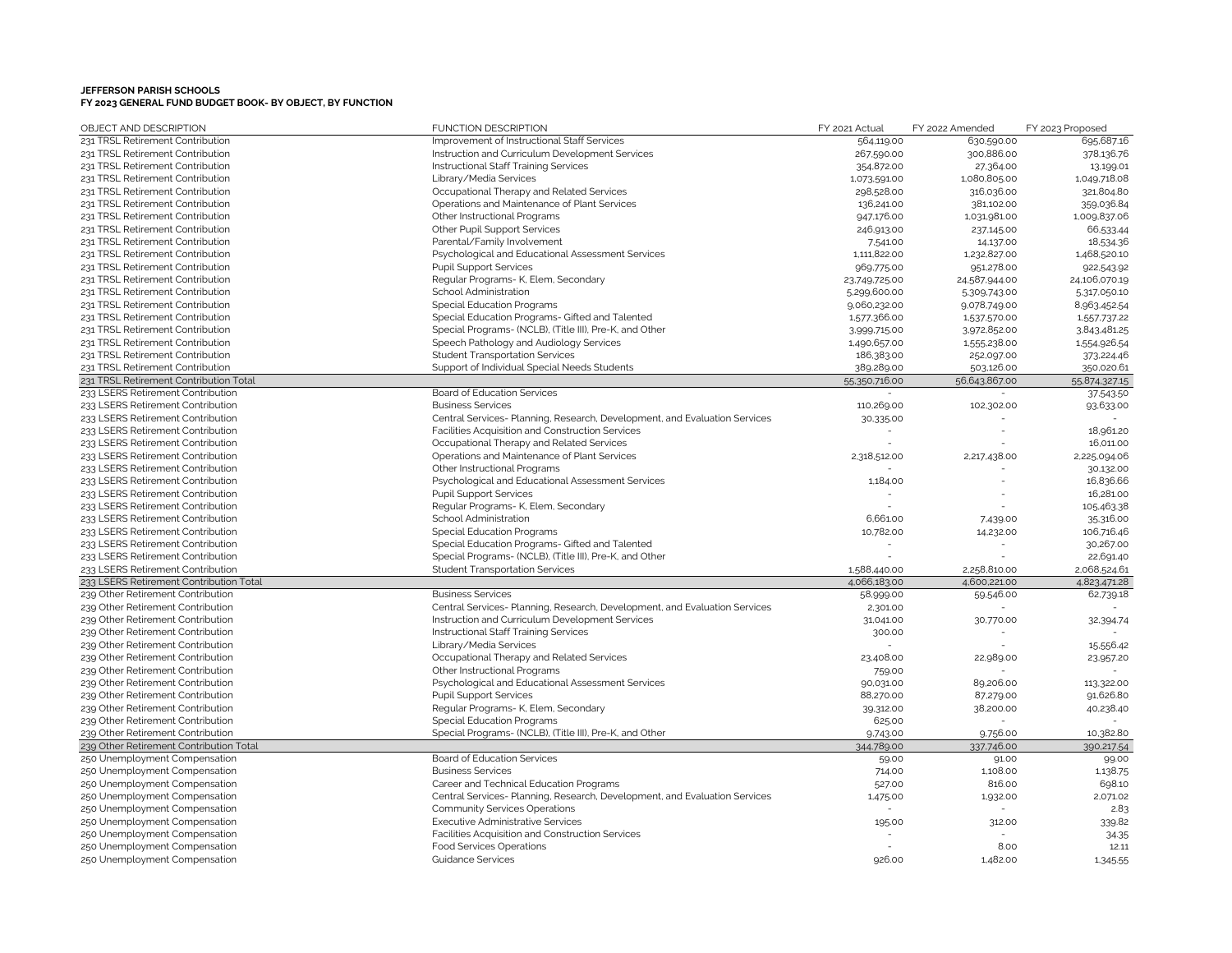| OBJECT AND DESCRIPTION                  | <b>FUNCTION DESCRIPTION</b>                                                | FY 2021 Actual | FY 2022 Amended | FY 2023 Proposed |
|-----------------------------------------|----------------------------------------------------------------------------|----------------|-----------------|------------------|
| 231 TRSL Retirement Contribution        | Improvement of Instructional Staff Services                                | 564,119.00     | 630,590.00      | 695,687.16       |
| 231 TRSL Retirement Contribution        | Instruction and Curriculum Development Services                            | 267,590.00     | 300,886.00      | 378,136.76       |
| 231 TRSL Retirement Contribution        | Instructional Staff Training Services                                      | 354,872.00     | 27,364.00       | 13,199.01        |
| 231 TRSL Retirement Contribution        | Library/Media Services                                                     | 1,073,591.00   | 1,080,805.00    | 1,049,718.08     |
| 231 TRSL Retirement Contribution        | Occupational Therapy and Related Services                                  | 298,528.00     | 316,036.00      | 321,804.80       |
| 231 TRSL Retirement Contribution        | Operations and Maintenance of Plant Services                               | 136,241.00     | 381,102.00      | 359,036.84       |
| 231 TRSL Retirement Contribution        | Other Instructional Programs                                               | 947,176.00     | 1,031,981.00    | 1,009,837.06     |
| 231 TRSL Retirement Contribution        | Other Pupil Support Services                                               | 246,913.00     | 237,145.00      | 66,533.44        |
| 231 TRSL Retirement Contribution        | Parental/Family Involvement                                                | 7,541.00       | 14,137.00       | 18,534.36        |
| 231 TRSL Retirement Contribution        | Psychological and Educational Assessment Services                          | 1,111,822.00   | 1,232,827.00    | 1,468,520.10     |
| 231 TRSL Retirement Contribution        | <b>Pupil Support Services</b>                                              | 969,775.00     | 951,278.00      | 922,543.92       |
| 231 TRSL Retirement Contribution        | Regular Programs- K, Elem, Secondary                                       | 23,749,725.00  | 24,587,944.00   | 24,106,070.19    |
| 231 TRSL Retirement Contribution        | School Administration                                                      | 5,299,600.00   | 5,309,743.00    | 5.317.050.10     |
| 231 TRSL Retirement Contribution        | <b>Special Education Programs</b>                                          | 9,060,232.00   | 9,078,749.00    | 8,963,452.54     |
| 231 TRSL Retirement Contribution        | Special Education Programs- Gifted and Talented                            | 1,577,366.00   | 1,537,570.00    | 1,557,737.22     |
| 231 TRSL Retirement Contribution        | Special Programs- (NCLB), (Title III), Pre-K, and Other                    | 3,999,715.00   | 3,972,852.00    | 3,843,481.25     |
| 231 TRSL Retirement Contribution        | Speech Pathology and Audiology Services                                    | 1,490,657.00   | 1,555,238.00    | 1,554,926.54     |
| 231 TRSL Retirement Contribution        | <b>Student Transportation Services</b>                                     | 186,383.00     | 252,097.00      | 373,224.46       |
| 231 TRSL Retirement Contribution        | Support of Individual Special Needs Students                               | 389,289.00     | 503.126.00      | 350,020.61       |
| 231 TRSL Retirement Contribution Total  |                                                                            | 55,350,716.00  | 56,643,867.00   | 55,874,327.15    |
| 233 LSERS Retirement Contribution       | Board of Education Services                                                |                |                 | 37,543.50        |
| 233 LSERS Retirement Contribution       | <b>Business Services</b>                                                   | 110,269.00     | 102,302.00      | 93,633.00        |
| 233 LSERS Retirement Contribution       | Central Services- Planning, Research, Development, and Evaluation Services | 30,335.00      |                 |                  |
| 233 LSERS Retirement Contribution       | Facilities Acquisition and Construction Services                           |                |                 | 18,961.20        |
| 233 LSERS Retirement Contribution       | Occupational Therapy and Related Services                                  |                |                 | 16,011.00        |
| 233 LSERS Retirement Contribution       | Operations and Maintenance of Plant Services                               | 2,318,512.00   | 2,217,438.00    | 2,225,094.06     |
| 233 LSERS Retirement Contribution       | Other Instructional Programs                                               |                |                 | 30,132.00        |
| 233 LSERS Retirement Contribution       | Psychological and Educational Assessment Services                          | 1,184.00       |                 | 16,836.66        |
| 233 LSERS Retirement Contribution       | <b>Pupil Support Services</b>                                              |                |                 | 16,281.00        |
| 233 LSERS Retirement Contribution       | Regular Programs- K, Elem, Secondary                                       |                |                 | 105,463.38       |
| 233 LSERS Retirement Contribution       | School Administration                                                      | 6,661.00       | 7,439.00        | 35,316.00        |
| 233 LSERS Retirement Contribution       | <b>Special Education Programs</b>                                          | 10,782.00      | 14,232.00       | 106,716.46       |
| 233 LSERS Retirement Contribution       | Special Education Programs- Gifted and Talented                            |                |                 | 30,267.00        |
| 233 LSERS Retirement Contribution       | Special Programs- (NCLB), (Title III), Pre-K, and Other                    |                |                 | 22,691.40        |
| 233 LSERS Retirement Contribution       | <b>Student Transportation Services</b>                                     | 1,588,440.00   | 2,258,810.00    | 2,068,524.61     |
| 233 LSERS Retirement Contribution Total |                                                                            | 4.066,183.00   | 4,600,221.00    | 4,823,471.28     |
| 239 Other Retirement Contribution       | <b>Business Services</b>                                                   | 58,999.00      | 59,546.00       | 62,739.18        |
| 239 Other Retirement Contribution       | Central Services- Planning, Research, Development, and Evaluation Services | 2,301.00       |                 |                  |
| 239 Other Retirement Contribution       | Instruction and Curriculum Development Services                            | 31,041.00      | 30,770.00       | 32,394.74        |
| 239 Other Retirement Contribution       | Instructional Staff Training Services                                      | 300.00         |                 |                  |
| 239 Other Retirement Contribution       | Library/Media Services                                                     |                |                 | 15,556.42        |
| 239 Other Retirement Contribution       | Occupational Therapy and Related Services                                  | 23,408.00      | 22,989.00       | 23,957.20        |
| 239 Other Retirement Contribution       | Other Instructional Programs                                               | 759.00         |                 |                  |
| 239 Other Retirement Contribution       | Psychological and Educational Assessment Services                          | 90,031.00      | 89,206.00       | 113,322.00       |
| 239 Other Retirement Contribution       | <b>Pupil Support Services</b>                                              | 88,270.00      | 87,279.00       | 91,626.80        |
| 239 Other Retirement Contribution       | Regular Programs- K, Elem, Secondary                                       | 39,312.00      | 38,200.00       | 40,238.40        |
| 239 Other Retirement Contribution       | <b>Special Education Programs</b>                                          | 625.00         |                 |                  |
| 239 Other Retirement Contribution       | Special Programs- (NCLB), (Title III), Pre-K, and Other                    | 9,743.00       | 9.756.00        | 10,382.80        |
| 239 Other Retirement Contribution Total |                                                                            | 344,789.00     | 337.746.00      | 390,217.54       |
| 250 Unemployment Compensation           | Board of Education Services                                                | 59.00          | 91.00           | 99.00            |
| 250 Unemployment Compensation           | <b>Business Services</b>                                                   | 714.00         | 1,108.00        | 1,138.75         |
| 250 Unemployment Compensation           | Career and Technical Education Programs                                    | 527.00         | 816.00          | 698.10           |
| 250 Unemployment Compensation           | Central Services- Planning, Research, Development, and Evaluation Services | 1,475.00       | 1,932.00        | 2,071.02         |
| 250 Unemployment Compensation           | Community Services Operations                                              |                |                 | 2.83             |
| 250 Unemployment Compensation           | <b>Executive Administrative Services</b>                                   | 195.00         | 312.00          | 339.82           |
| 250 Unemployment Compensation           | Facilities Acquisition and Construction Services                           |                |                 | 34.35            |
| 250 Unemployment Compensation           | <b>Food Services Operations</b>                                            |                | 8.00            | 12.11            |
| 250 Unemployment Compensation           | <b>Guidance Services</b>                                                   | 926.00         | 1,482.00        | 1,345.55         |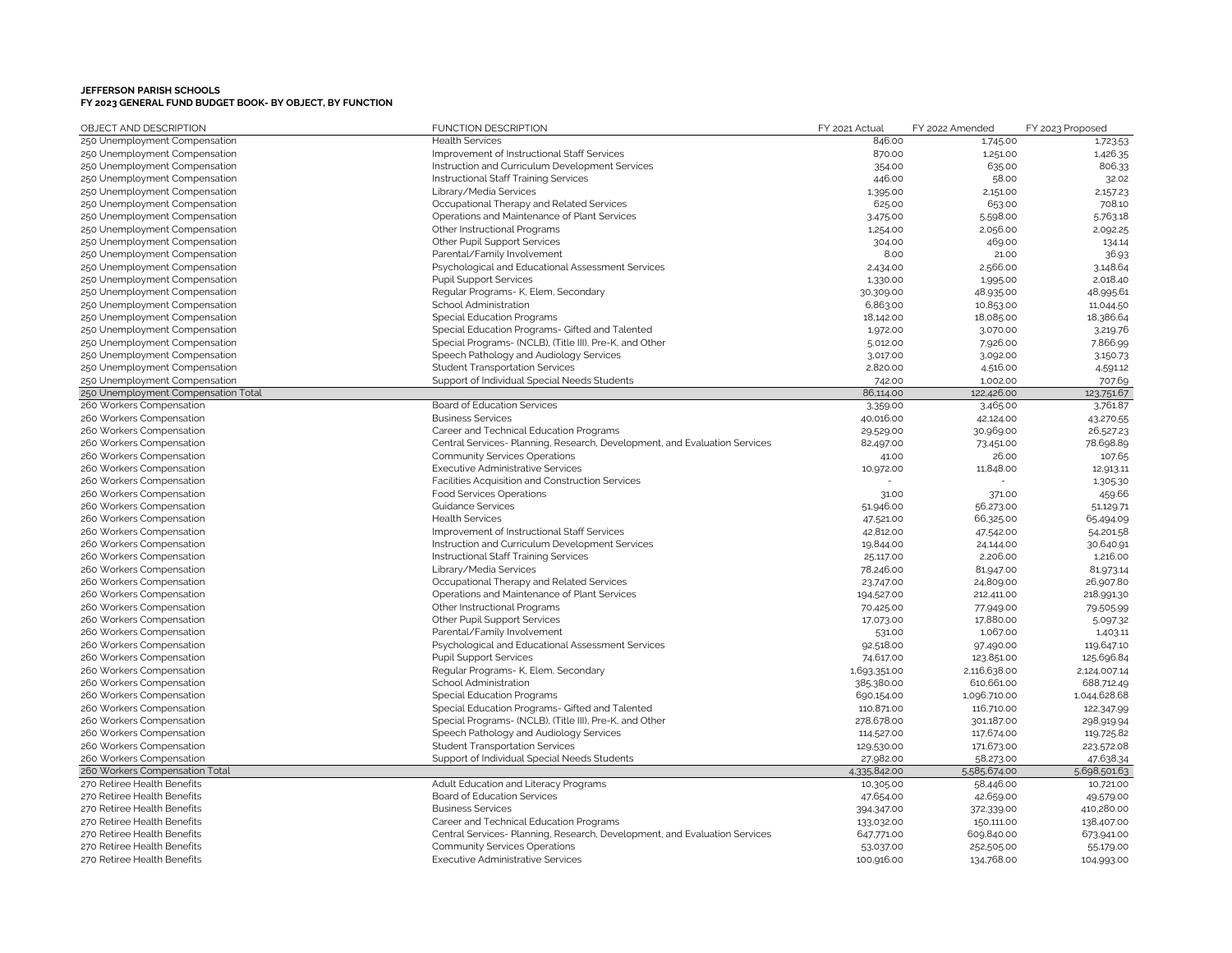| OBJECT AND DESCRIPTION                               | <b>FUNCTION DESCRIPTION</b>                                                      | FY 2021 Actual      | FY 2022 Amended         | FY 2023 Proposed       |
|------------------------------------------------------|----------------------------------------------------------------------------------|---------------------|-------------------------|------------------------|
| 250 Unemployment Compensation                        | <b>Health Services</b>                                                           | 846.00              | 1,745.00                | 1,723.53               |
| 250 Unemployment Compensation                        | Improvement of Instructional Staff Services                                      | 870.00              | 1,251.00                | 1,426.35               |
| 250 Unemployment Compensation                        | Instruction and Curriculum Development Services                                  | 354.00              | 635.00                  | 806.33                 |
| 250 Unemployment Compensation                        | Instructional Staff Training Services                                            | 446.00              | 58.00                   | 32.02                  |
| 250 Unemployment Compensation                        | Library/Media Services                                                           | 1,395.00            | 2,151.00                | 2,157.23               |
| 250 Unemployment Compensation                        | Occupational Therapy and Related Services                                        | 625.00              | 653.00                  | 708.10                 |
| 250 Unemployment Compensation                        | Operations and Maintenance of Plant Services                                     | 3,475.00            | 5,598.00                | 5,763.18               |
| 250 Unemployment Compensation                        | Other Instructional Programs                                                     | 1,254.00            | 2,056.00                | 2,092.25               |
| 250 Unemployment Compensation                        | Other Pupil Support Services                                                     | 304.00              | 469.00                  | 134.14                 |
| 250 Unemployment Compensation                        | Parental/Family Involvement                                                      | 8.00                | 21.00                   | 36.93                  |
| 250 Unemployment Compensation                        | Psychological and Educational Assessment Services                                | 2,434.00            | 2,566.00                | 3,148.64               |
| 250 Unemployment Compensation                        | <b>Pupil Support Services</b>                                                    | 1,330.00            | 1,995.00                | 2,018.40               |
| 250 Unemployment Compensation                        | Regular Programs- K, Elem, Secondary                                             | 30,309.00           | 48,935.00               | 48,995.61              |
| 250 Unemployment Compensation                        | School Administration                                                            | 6,863.00            | 10,853.00               | 11,044.50              |
| 250 Unemployment Compensation                        | <b>Special Education Programs</b>                                                | 18,142.00           | 18,085.00               | 18,386.64              |
| 250 Unemployment Compensation                        | Special Education Programs- Gifted and Talented                                  | 1,972.00            | 3,070.00                | 3,219.76               |
| 250 Unemployment Compensation                        | Special Programs- (NCLB), (Title III), Pre-K, and Other                          | 5,012.00            | 7,926.00                | 7,866.99               |
| 250 Unemployment Compensation                        | Speech Pathology and Audiology Services                                          | 3,017.00            | 3,092.00                | 3,150.73               |
| 250 Unemployment Compensation                        | <b>Student Transportation Services</b>                                           | 2,820.00            | 4,516.00                | 4,591.12               |
| 250 Unemployment Compensation                        | Support of Individual Special Needs Students                                     | 742.00              | 1,002.00                | 707.69                 |
| 250 Unemployment Compensation Total                  |                                                                                  | 86,114.00           | 122,426.00              | 123,751.67             |
| 260 Workers Compensation                             | Board of Education Services                                                      | 3,359.00            | 3,465.00                | 3.761.87               |
| 260 Workers Compensation                             | <b>Business Services</b>                                                         | 40,016.00           | 42,124.00               | 43,270.55              |
| 260 Workers Compensation                             | Career and Technical Education Programs                                          | 29,529.00           | 30,969.00               | 26,527.23              |
| 260 Workers Compensation                             | Central Services- Planning, Research, Development, and Evaluation Services       | 82,497.00           | 73,451.00               | 78,698.89              |
| 260 Workers Compensation                             | <b>Community Services Operations</b>                                             | 41.00               | 26.00                   | 107.65                 |
| 260 Workers Compensation                             | <b>Executive Administrative Services</b>                                         | 10,972.00           | 11,848.00               | 12,913.11              |
| 260 Workers Compensation                             | Facilities Acquisition and Construction Services                                 |                     |                         | 1,305.30               |
| 260 Workers Compensation                             | <b>Food Services Operations</b>                                                  | 31.00               | 371.00                  | 459.66                 |
| 260 Workers Compensation                             | <b>Guidance Services</b>                                                         | 51,946.00           | 56,273.00               | 51,129.71              |
| 260 Workers Compensation                             | <b>Health Services</b>                                                           | 47,521.00           | 66,325.00               | 65,494.09              |
| 260 Workers Compensation                             | Improvement of Instructional Staff Services                                      | 42,812.00           | 47,542.00               | 54,201.58              |
| 260 Workers Compensation                             | Instruction and Curriculum Development Services                                  | 19,844.00           | 24,144.00               | 30,640.91              |
| 260 Workers Compensation                             | Instructional Staff Training Services                                            | 25,117.00           | 2,206.00                | 1,216.00               |
| 260 Workers Compensation                             | Library/Media Services                                                           | 78,246.00           | 81,947.00               | 81,973.14              |
| 260 Workers Compensation                             | Occupational Therapy and Related Services                                        | 23,747.00           | 24,809.00               | 26,907.80              |
| 260 Workers Compensation                             | Operations and Maintenance of Plant Services                                     | 194,527.00          | 212,411.00              | 218,991.30             |
| 260 Workers Compensation                             | Other Instructional Programs                                                     | 70,425.00           | 77,949.00               | 79.505.99              |
| 260 Workers Compensation                             | Other Pupil Support Services                                                     | 17,073.00           | 17,880.00               | 5,097.32               |
| 260 Workers Compensation<br>260 Workers Compensation | Parental/Family Involvement<br>Psychological and Educational Assessment Services | 531.00<br>92,518.00 | 1,067.00                | 1,403.11<br>119,647.10 |
| 260 Workers Compensation                             | <b>Pupil Support Services</b>                                                    | 74,617.00           | 97,490.00<br>123,851.00 | 125,696.84             |
| 260 Workers Compensation                             | Regular Programs- K, Elem, Secondary                                             | 1,693,351.00        | 2,116,638.00            | 2,124,007.14           |
| 260 Workers Compensation                             | School Administration                                                            | 385,380.00          | 610,661.00              | 688,712.49             |
| 260 Workers Compensation                             | <b>Special Education Programs</b>                                                | 690,154.00          | 1,096,710.00            | 1,044,628.68           |
| 260 Workers Compensation                             | Special Education Programs- Gifted and Talented                                  | 110,871.00          | 116,710.00              | 122,347.99             |
| 260 Workers Compensation                             | Special Programs- (NCLB), (Title III), Pre-K, and Other                          | 278,678.00          | 301,187.00              | 298,919.94             |
| 260 Workers Compensation                             | Speech Pathology and Audiology Services                                          | 114,527.00          | 117,674.00              | 119,725.82             |
| 260 Workers Compensation                             | <b>Student Transportation Services</b>                                           | 129,530.00          | 171,673.00              | 223,572.08             |
| 260 Workers Compensation                             | Support of Individual Special Needs Students                                     | 27,982.00           | 58,273.00               | 47,638.34              |
| 260 Workers Compensation Total                       |                                                                                  | 4.335,842.00        | 5.585,674.00            | 5,698,501.63           |
| 270 Retiree Health Benefits                          | Adult Education and Literacy Programs                                            | 10,305.00           | 58,446.00               | 10,721.00              |
| 270 Retiree Health Benefits                          | Board of Education Services                                                      | 47,654.00           | 42,659.00               | 49,579.00              |
| 270 Retiree Health Benefits                          | <b>Business Services</b>                                                         | 394,347.00          | 372,339.00              | 410,280.00             |
| 270 Retiree Health Benefits                          | Career and Technical Education Programs                                          | 133,032.00          | 150,111.00              | 138,407.00             |
| 270 Retiree Health Benefits                          | Central Services- Planning, Research, Development, and Evaluation Services       | 647,771.00          | 609,840.00              | 673,941.00             |
| 270 Retiree Health Benefits                          | <b>Community Services Operations</b>                                             | 53,037.00           | 252,505.00              | 55,179.00              |
| 270 Retiree Health Benefits                          | <b>Executive Administrative Services</b>                                         | 100.916.00          | 134.768.00              | 104.993.00             |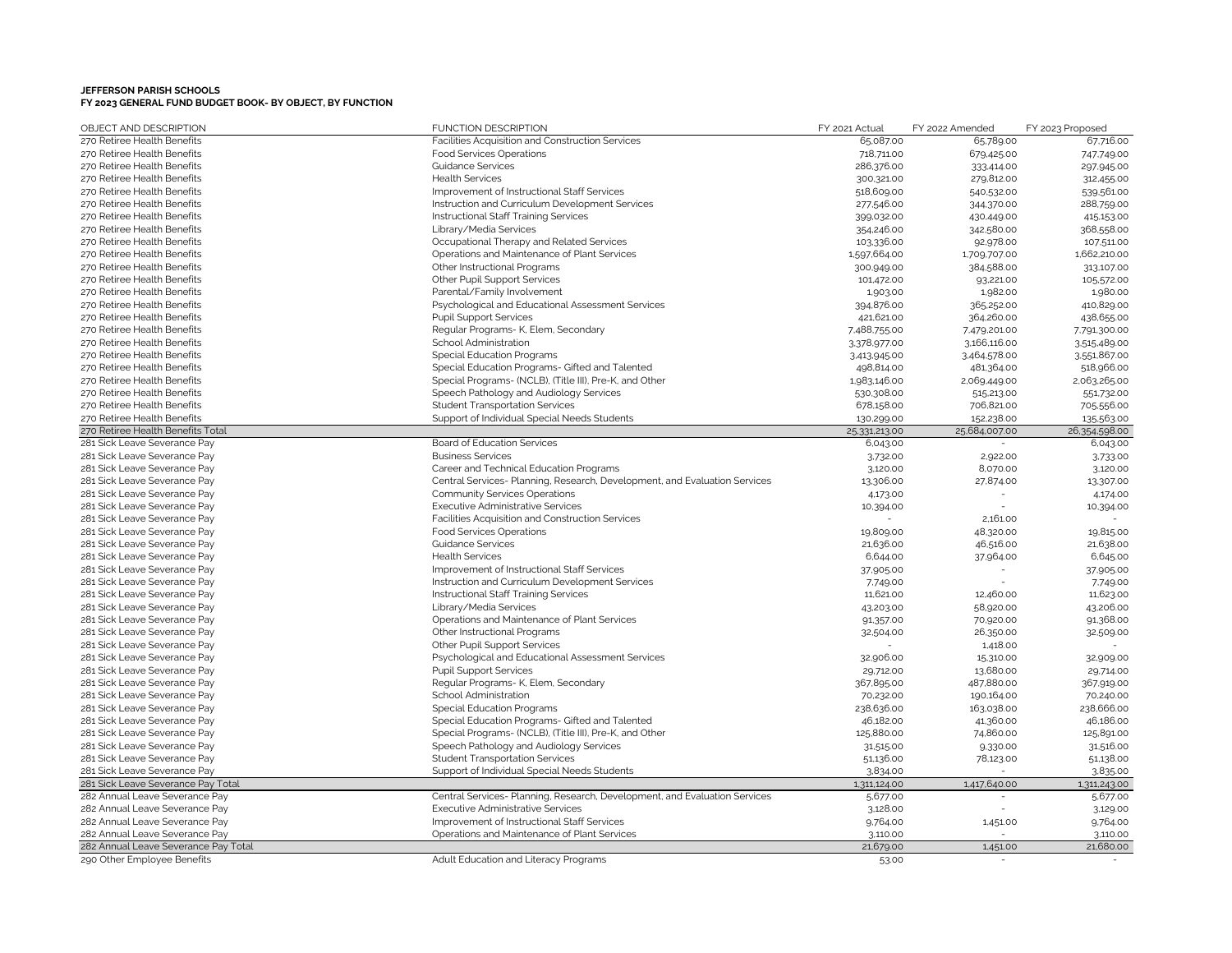| OBJECT AND DESCRIPTION               | <b>FUNCTION DESCRIPTION</b>                                                | FY 2021 Actual | FY 2022 Amended | FY 2023 Proposed |
|--------------------------------------|----------------------------------------------------------------------------|----------------|-----------------|------------------|
| 270 Retiree Health Benefits          | Facilities Acquisition and Construction Services                           | 65,087.00      | 65,789.00       | 67,716.00        |
| 270 Retiree Health Benefits          | <b>Food Services Operations</b>                                            | 718,711.00     | 679,425.00      | 747,749.00       |
| 270 Retiree Health Benefits          | <b>Guidance Services</b>                                                   | 286,376.00     | 333,414.00      | 297,945.00       |
| 270 Retiree Health Benefits          | <b>Health Services</b>                                                     | 300,321.00     | 279,812.00      | 312,455.00       |
| 270 Retiree Health Benefits          | Improvement of Instructional Staff Services                                | 518,609.00     | 540,532.00      | 539,561.00       |
| 270 Retiree Health Benefits          | Instruction and Curriculum Development Services                            | 277,546.00     | 344,370.00      | 288,759.00       |
| 270 Retiree Health Benefits          | Instructional Staff Training Services                                      | 399,032.00     | 430,449.00      | 415,153.00       |
| 270 Retiree Health Benefits          | Library/Media Services                                                     | 354,246.00     | 342,580.00      | 368,558.00       |
| 270 Retiree Health Benefits          | Occupational Therapy and Related Services                                  | 103.336.00     | 92,978.00       | 107,511.00       |
| 270 Retiree Health Benefits          | Operations and Maintenance of Plant Services                               | 1,597,664.00   | 1,709,707.00    | 1,662,210.00     |
| 270 Retiree Health Benefits          | Other Instructional Programs                                               | 300,949.00     | 384,588.00      | 313,107.00       |
| 270 Retiree Health Benefits          | Other Pupil Support Services                                               | 101,472.00     | 93,221.00       | 105,572.00       |
| 270 Retiree Health Benefits          | Parental/Family Involvement                                                | 1,903.00       | 1,982.00        | 1,980.00         |
| 270 Retiree Health Benefits          | Psychological and Educational Assessment Services                          | 394,876.00     | 365,252.00      | 410,829.00       |
| 270 Retiree Health Benefits          | <b>Pupil Support Services</b>                                              | 421,621.00     | 364,260.00      | 438,655.00       |
| 270 Retiree Health Benefits          | Regular Programs- K, Elem, Secondary                                       | 7,488,755.00   | 7.479,201.00    | 7.791,300.00     |
| 270 Retiree Health Benefits          | School Administration                                                      | 3.378,977.00   | 3,166,116.00    | 3,515,489.00     |
| 270 Retiree Health Benefits          | Special Education Programs                                                 | 3,413,945.00   | 3,464,578.00    | 3,551,867.00     |
| 270 Retiree Health Benefits          | Special Education Programs- Gifted and Talented                            | 498,814.00     | 481,364.00      | 518,966.00       |
| 270 Retiree Health Benefits          | Special Programs- (NCLB), (Title III), Pre-K, and Other                    | 1,983,146.00   | 2,069,449.00    | 2,063,265.00     |
| 270 Retiree Health Benefits          | Speech Pathology and Audiology Services                                    | 530,308.00     | 515,213.00      | 551,732.00       |
| 270 Retiree Health Benefits          | <b>Student Transportation Services</b>                                     | 678,158.00     | 706,821.00      | 705,556.00       |
| 270 Retiree Health Benefits          | Support of Individual Special Needs Students                               | 130,299.00     | 152,238.00      | 135,563.00       |
| 270 Retiree Health Benefits Total    |                                                                            | 25,331,213.00  | 25,684,007.00   | 26,354,598.00    |
| 281 Sick Leave Severance Pay         | Board of Education Services                                                | 6,043.00       |                 | 6,043.00         |
| 281 Sick Leave Severance Pay         | <b>Business Services</b>                                                   | 3,732.00       | 2,922.00        | 3.733.00         |
| 281 Sick Leave Severance Pay         | Career and Technical Education Programs                                    | 3,120.00       | 8,070.00        | 3,120.00         |
| 281 Sick Leave Severance Pay         | Central Services- Planning, Research, Development, and Evaluation Services | 13,306.00      | 27,874.00       | 13,307.00        |
| 281 Sick Leave Severance Pay         | <b>Community Services Operations</b>                                       | 4,173.00       |                 | 4,174.0C         |
| 281 Sick Leave Severance Pay         | <b>Executive Administrative Services</b>                                   | 10,394.00      |                 | 10,394.00        |
| 281 Sick Leave Severance Pay         | Facilities Acquisition and Construction Services                           |                | 2,161.00        |                  |
| 281 Sick Leave Severance Pay         | Food Services Operations                                                   | 19,809.00      | 48,320.00       | 19,815.00        |
| 281 Sick Leave Severance Pay         | <b>Guidance Services</b>                                                   | 21,636.00      | 46,516.00       | 21,638.00        |
| 281 Sick Leave Severance Pay         | <b>Health Services</b>                                                     | 6,644.00       | 37,964.00       | 6,645.00         |
| 281 Sick Leave Severance Pay         | Improvement of Instructional Staff Services                                | 37,905.00      |                 | 37,905.00        |
| 281 Sick Leave Severance Pay         | Instruction and Curriculum Development Services                            | 7,749.00       |                 | 7,749.00         |
| 281 Sick Leave Severance Pay         | Instructional Staff Training Services                                      | 11,621.00      | 12,460.00       | 11,623.00        |
| 281 Sick Leave Severance Pay         | Library/Media Services                                                     | 43,203.00      | 58,920.00       | 43,206.00        |
| 281 Sick Leave Severance Pay         | Operations and Maintenance of Plant Services                               | 91,357.00      | 70,920.00       | 91,368.00        |
| 281 Sick Leave Severance Pay         | Other Instructional Programs                                               | 32,504.00      | 26,350.00       | 32,509.00        |
| 281 Sick Leave Severance Pay         | Other Pupil Support Services                                               |                | 1,418.00        |                  |
| 281 Sick Leave Severance Pay         | Psychological and Educational Assessment Services                          | 32,906.00      | 15,310.00       | 32,909.00        |
| 281 Sick Leave Severance Pay         | <b>Pupil Support Services</b>                                              | 29,712.00      | 13,680.00       | 29,714.00        |
| 281 Sick Leave Severance Pay         | Regular Programs- K, Elem, Secondary                                       | 367,895.00     | 487,880.00      | 367,919.00       |
| 281 Sick Leave Severance Pay         | School Administration                                                      | 70,232.00      | 190,164.00      | 70,240.00        |
| 281 Sick Leave Severance Pay         | Special Education Programs                                                 | 238,636.00     | 163,038.00      | 238,666.00       |
| 281 Sick Leave Severance Pay         | Special Education Programs- Gifted and Talented                            | 46,182.00      | 41,360.00       | 46,186.00        |
| 281 Sick Leave Severance Pay         | Special Programs- (NCLB), (Title III), Pre-K, and Other                    | 125,880.00     | 74,860.00       | 125,891.00       |
| 281 Sick Leave Severance Pay         | Speech Pathology and Audiology Services                                    | 31,515.00      | 9,330.00        | 31,516.00        |
| 281 Sick Leave Severance Pay         | <b>Student Transportation Services</b>                                     | 51,136.00      | 78,123.00       | 51,138.00        |
| 281 Sick Leave Severance Pay         | Support of Individual Special Needs Students                               | 3,834.00       |                 | 3,835.00         |
| 281 Sick Leave Severance Pay Total   |                                                                            | 1,311,124.00   | 1,417,640.00    | 1,311,243.00     |
| 282 Annual Leave Severance Pay       | Central Services- Planning, Research, Development, and Evaluation Services | 5,677.00       |                 | 5,677.00         |
| 282 Annual Leave Severance Pay       | <b>Executive Administrative Services</b>                                   | 3,128.00       |                 | 3,129.00         |
| 282 Annual Leave Severance Pay       | Improvement of Instructional Staff Services                                | 9,764.00       | 1,451.00        | 9,764.00         |
| 282 Annual Leave Severance Pay       | Operations and Maintenance of Plant Services                               | 3,110.00       |                 | 3,110.00         |
| 282 Annual Leave Severance Pay Total |                                                                            | 21,679.00      | 1,451.00        | 21,680.00        |
| 290 Other Employee Benefits          | Adult Education and Literacy Programs                                      | 53.00          |                 |                  |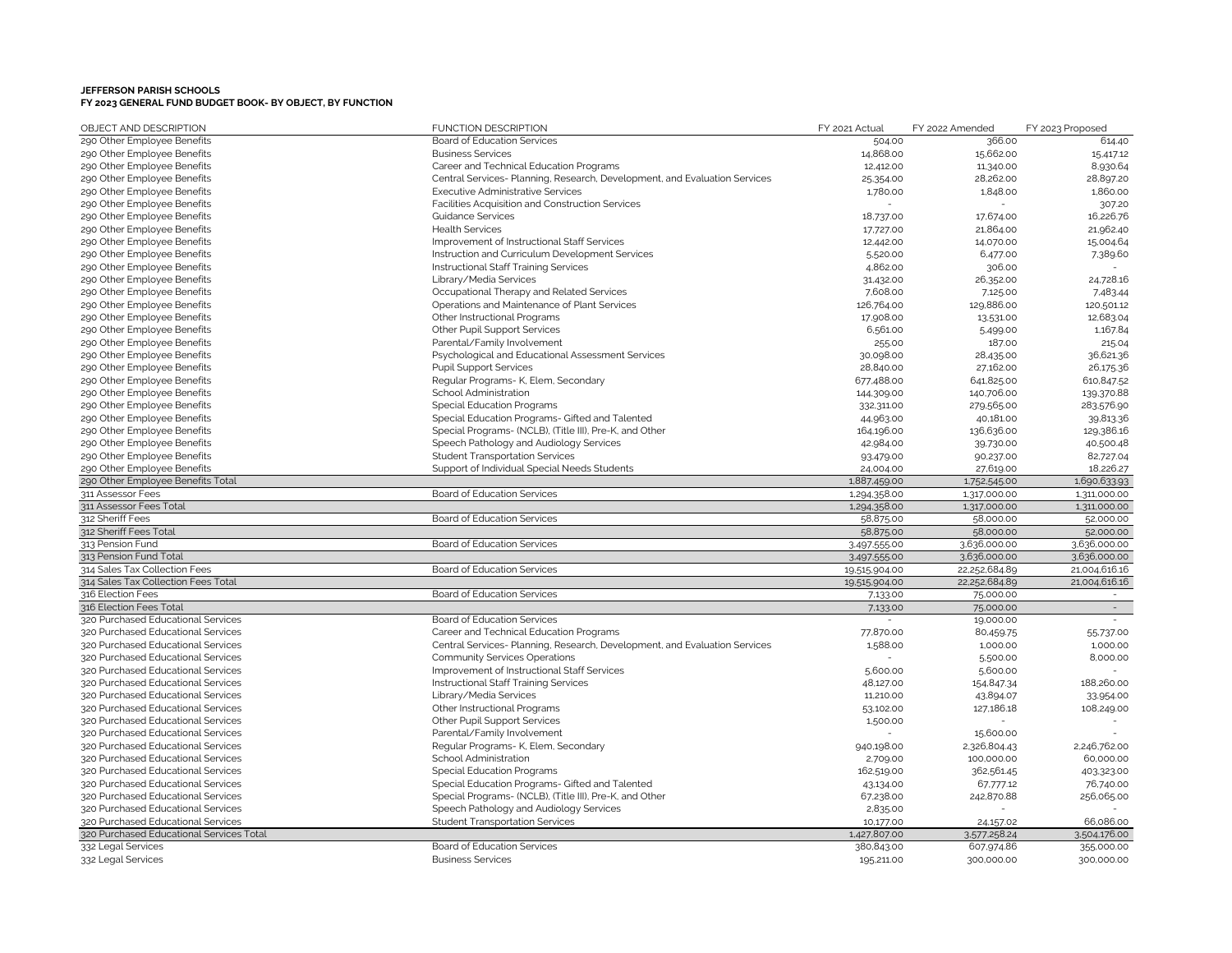| OBJECT AND DESCRIPTION                   | <b>FUNCTION DESCRIPTION</b>                                                | FY 2021 Actual           | FY 2022 Amended | FY 2023 Proposed |
|------------------------------------------|----------------------------------------------------------------------------|--------------------------|-----------------|------------------|
| 290 Other Employee Benefits              | <b>Board of Education Services</b>                                         | 504.00                   | 366.00          | 614.40           |
| 290 Other Employee Benefits              | <b>Business Services</b>                                                   | 14,868.00                | 15,662.00       | 15,417.12        |
| 290 Other Employee Benefits              | Career and Technical Education Programs                                    | 12,412.00                | 11,340.00       | 8,930.64         |
| 290 Other Employee Benefits              | Central Services- Planning, Research, Development, and Evaluation Services | 25,354.00                | 28,262.00       | 28,897.20        |
| 290 Other Employee Benefits              | <b>Executive Administrative Services</b>                                   | 1,780.00                 | 1,848.00        | 1,860.00         |
| 290 Other Employee Benefits              | Facilities Acquisition and Construction Services                           |                          |                 | 307.20           |
| 290 Other Employee Benefits              | Guidance Services                                                          | 18,737.00                | 17,674.00       | 16,226.76        |
| 290 Other Employee Benefits              | <b>Health Services</b>                                                     | 17,727.00                | 21,864.00       | 21,962.40        |
| 290 Other Employee Benefits              | Improvement of Instructional Staff Services                                | 12,442.00                | 14,070.00       | 15,004.64        |
| 290 Other Employee Benefits              | Instruction and Curriculum Development Services                            | 5,520.00                 | 6,477.00        | 7,389.60         |
| 290 Other Employee Benefits              | Instructional Staff Training Services                                      | 4,862.00                 | 306.00          |                  |
| 290 Other Employee Benefits              | Library/Media Services                                                     | 31,432.00                | 26,352.00       | 24,728.16        |
| 290 Other Employee Benefits              | Occupational Therapy and Related Services                                  | 7,608.00                 | 7,125.00        | 7.483.44         |
| 290 Other Employee Benefits              | Operations and Maintenance of Plant Services                               | 126,764.00               | 129,886.00      | 120,501.12       |
| 290 Other Employee Benefits              | Other Instructional Programs                                               | 17,908.00                | 13,531.00       | 12,683.04        |
| 290 Other Employee Benefits              | Other Pupil Support Services                                               | 6,561.00                 | 5,499.00        | 1,167.84         |
| 290 Other Employee Benefits              | Parental/Family Involvement                                                | 255.00                   | 187.00          | 215.04           |
| 290 Other Employee Benefits              | Psychological and Educational Assessment Services                          | 30,098.00                | 28,435.00       | 36,621.36        |
| 290 Other Employee Benefits              | <b>Pupil Support Services</b>                                              | 28,840.00                | 27,162.00       | 26,175.36        |
| 290 Other Employee Benefits              | Regular Programs- K, Elem, Secondary                                       | 677,488.00               | 641,825.00      | 610,847.52       |
| 290 Other Employee Benefits              | School Administration                                                      | 144,309.00               | 140,706.00      | 139,370.88       |
| 290 Other Employee Benefits              | Special Education Programs                                                 | 332,311.00               | 279,565.00      | 283,576.90       |
| 290 Other Employee Benefits              | Special Education Programs- Gifted and Talented                            | 44,963.00                | 40,181.00       | 39,813.36        |
| 290 Other Employee Benefits              | Special Programs- (NCLB), (Title III), Pre-K, and Other                    | 164,196.00               | 136,636.00      | 129,386.16       |
| 290 Other Employee Benefits              | Speech Pathology and Audiology Services                                    | 42,984.00                | 39,730.00       | 40,500.48        |
| 290 Other Employee Benefits              | <b>Student Transportation Services</b>                                     | 93,479.00                | 90,237.00       | 82,727.04        |
| 290 Other Employee Benefits              | Support of Individual Special Needs Students                               | 24,004.00                | 27,619.00       | 18,226.27        |
| 290 Other Employee Benefits Total        |                                                                            | 1,887,459.00             | 1,752,545.00    | 1,690,633.93     |
| 311 Assessor Fees                        | <b>Board of Education Services</b>                                         | 1,294,358.00             | 1,317,000.00    | 1,311,000.00     |
| 311 Assessor Fees Total                  |                                                                            | 1,294,358.00             | 1,317,000.00    | 1,311,000.00     |
| 312 Sheriff Fees                         | Board of Education Services                                                | 58,875.00                | 58,000.00       | 52,000.00        |
| 312 Sheriff Fees Total                   |                                                                            | 58,875.00                | 58,000.00       | 52,000.00        |
| 313 Pension Fund                         | Board of Education Services                                                | 3,497,555.00             | 3,636,000.00    | 3,636,000.00     |
| 313 Pension Fund Total                   |                                                                            | 3,497,555.00             | 3,636,000.00    | 3,636,000.00     |
| 314 Sales Tax Collection Fees            | Board of Education Services                                                | 19,515,904.00            | 22,252,684.89   | 21,004,616.16    |
| 314 Sales Tax Collection Fees Total      |                                                                            | 19,515,904.00            | 22,252,684.89   | 21,004,616.16    |
| 316 Election Fees                        | <b>Board of Education Services</b>                                         | 7,133.00                 | 75,000.00       | $\sim$           |
| 316 Election Fees Total                  |                                                                            | 7,133.00                 | 75,000.00       | $\sim$           |
| 320 Purchased Educational Services       | Board of Education Services                                                | $\overline{\phantom{a}}$ | 19,000.00       | $\sim$           |
| 320 Purchased Educational Services       | Career and Technical Education Programs                                    | 77,870.00                | 80,459.75       | 55,737.00        |
| 320 Purchased Educational Services       | Central Services- Planning, Research, Development, and Evaluation Services | 1,588.00                 | 1,000.00        | 1,000.00         |
| 320 Purchased Educational Services       | <b>Community Services Operations</b>                                       |                          | 5,500.00        | 8,000.00         |
| 320 Purchased Educational Services       | Improvement of Instructional Staff Services                                | 5,600.00                 | 5,600.00        |                  |
| 320 Purchased Educational Services       | Instructional Staff Training Services                                      | 48,127.00                | 154,847.34      | 188,260.00       |
| 320 Purchased Educational Services       | Library/Media Services                                                     | 11,210.00                | 43,894.07       | 33,954.00        |
| 320 Purchased Educational Services       | Other Instructional Programs                                               | 53,102.00                | 127,186.18      | 108,249.00       |
| 320 Purchased Educational Services       | Other Pupil Support Services                                               | 1,500.00                 |                 |                  |
| 320 Purchased Educational Services       | Parental/Family Involvement                                                |                          | 15,600.00       |                  |
| 320 Purchased Educational Services       | Regular Programs- K, Elem, Secondary                                       | 940,198.00               | 2,326,804.43    | 2,246,762.00     |
| 320 Purchased Educational Services       | School Administration                                                      | 2,709.00                 | 100,000.00      | 60,000.00        |
| 320 Purchased Educational Services       | <b>Special Education Programs</b>                                          | 162,519.00               | 362,561.45      | 403,323.00       |
| 320 Purchased Educational Services       | Special Education Programs- Gifted and Talented                            | 43,134.00                | 67.777.12       | 76,740.00        |
| 320 Purchased Educational Services       | Special Programs- (NCLB), (Title III), Pre-K, and Other                    | 67,238.00                | 242,870.88      | 256,065.00       |
| 320 Purchased Educational Services       | Speech Pathology and Audiology Services                                    | 2,835.00                 |                 |                  |
| 320 Purchased Educational Services       | <b>Student Transportation Services</b>                                     | 10,177.00                | 24,157.02       | 66,086.00        |
| 320 Purchased Educational Services Total |                                                                            | 1,427,807.00             | 3.577.258.24    | 3.504.176.00     |
| 332 Legal Services                       | Board of Education Services                                                | 380,843.00               | 607,974.86      | 355,000.00       |
| 332 Legal Services                       | <b>Business Services</b>                                                   | 195,211.00               | 300,000.00      | 300,000.00       |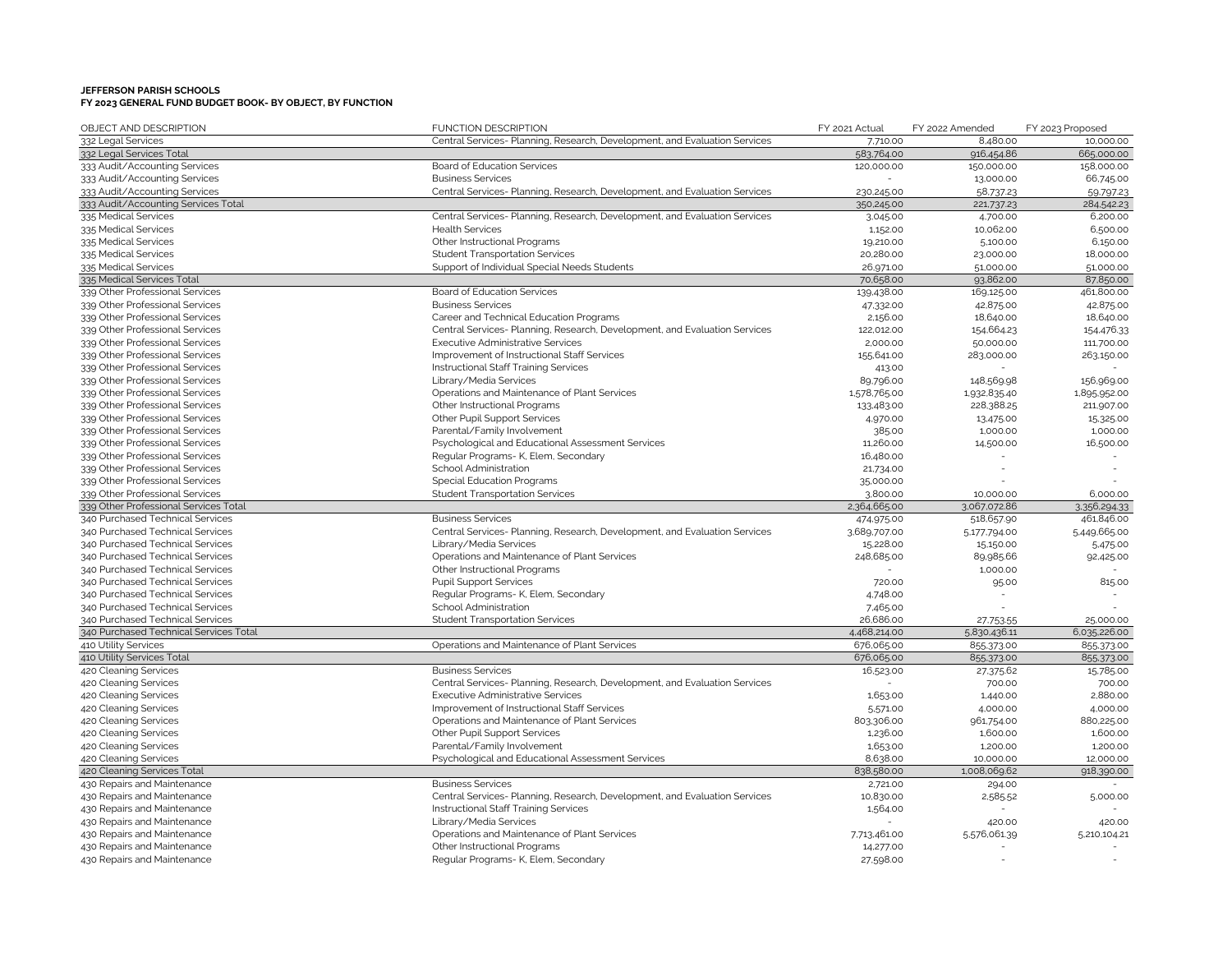| OBJECT AND DESCRIPTION                         | <b>FUNCTION DESCRIPTION</b>                                                                            | FY 2021 Actual       | FY 2022 Amended        | FY 2023 Proposed     |
|------------------------------------------------|--------------------------------------------------------------------------------------------------------|----------------------|------------------------|----------------------|
| 332 Legal Services                             | Central Services- Planning, Research, Development, and Evaluation Services                             | 7,710.00             | 8,480.00               | 10,000.00            |
| 332 Legal Services Total                       |                                                                                                        | 583,764.00           | 916,454.86             | 665,000.00           |
| 333 Audit/Accounting Services                  | <b>Board of Education Services</b>                                                                     | 120,000.00           | 150,000.00             | 158,000.00           |
| 333 Audit/Accounting Services                  | <b>Business Services</b>                                                                               |                      | 13,000.00              | 66,745.00            |
| 333 Audit/Accounting Services                  | Central Services- Planning, Research, Development, and Evaluation Services                             | 230,245.00           | 58,737.23              | 59.797.23            |
| 333 Audit/Accounting Services Total            |                                                                                                        | 350,245.00           | 221,737.23             | 284,542.23           |
| 335 Medical Services                           | Central Services- Planning, Research, Development, and Evaluation Services                             | 3,045.00             | 4,700.00               | 6,200.00             |
| 335 Medical Services                           | <b>Health Services</b>                                                                                 | 1,152.00             | 10,062.00              | 6,500.00             |
| 335 Medical Services                           | Other Instructional Programs                                                                           | 19,210.00            | 5,100.00               | 6,150.00             |
| 335 Medical Services                           | <b>Student Transportation Services</b>                                                                 | 20,280.00            | 23,000.00              | 18,000.00            |
| 335 Medical Services                           | Support of Individual Special Needs Students                                                           | 26,971.00            | 51,000.00              | 51,000.00            |
| 335 Medical Services Total                     |                                                                                                        | 70,658.00            | 93,862.00              | 87,850.00            |
| 339 Other Professional Services                | Board of Education Services                                                                            | 139,438.00           | 169,125.00             | 461,800.00           |
| 339 Other Professional Services                | <b>Business Services</b>                                                                               | 47,332.00            | 42,875.00              | 42,875.00            |
| 339 Other Professional Services                | Career and Technical Education Programs                                                                | 2,156.00             | 18,640.00              | 18,640.00            |
| 339 Other Professional Services                | Central Services- Planning, Research, Development, and Evaluation Services                             | 122,012.00           | 154,664.23             | 154,476.33           |
| 339 Other Professional Services                | <b>Executive Administrative Services</b>                                                               | 2,000.00             | 50,000.00              | 111,700.00           |
| 339 Other Professional Services                | Improvement of Instructional Staff Services                                                            | 155,641.00           | 283,000.00             | 263,150.00           |
| 339 Other Professional Services                | Instructional Staff Training Services                                                                  | 413.00               |                        |                      |
| 339 Other Professional Services                | Library/Media Services                                                                                 | 89,796.00            | 148,569.98             | 156,969.00           |
| 339 Other Professional Services                | Operations and Maintenance of Plant Services                                                           | 1,578,765.00         | 1,932,835.40           | 1,895,952.00         |
| 339 Other Professional Services                | Other Instructional Programs                                                                           | 133,483.00           | 228,388.25             | 211,907.00           |
| 339 Other Professional Services                | Other Pupil Support Services                                                                           | 4,970.00             | 13,475.00              | 15,325.00            |
| 339 Other Professional Services                | Parental/Family Involvement                                                                            | 385.00               | 1,000.00               | 1,000.00             |
| 339 Other Professional Services                | Psychological and Educational Assessment Services                                                      | 11,260.00            | 14,500.00              | 16,500.00            |
| 339 Other Professional Services                | Regular Programs- K, Elem, Secondary                                                                   | 16,480.00            |                        |                      |
| 339 Other Professional Services                | School Administration                                                                                  | 21,734.00            |                        |                      |
| 339 Other Professional Services                | <b>Special Education Programs</b>                                                                      | 35,000.00            |                        |                      |
| 339 Other Professional Services                | <b>Student Transportation Services</b>                                                                 | 3,800.00             | 10,000.00              | 6,000.00             |
| 339 Other Professional Services Total          |                                                                                                        | 2,364,665.00         | 3,067,072.86           | 3.356,294.33         |
| 340 Purchased Technical Services               | <b>Business Services</b>                                                                               | 474,975.00           | 518,657.90             | 461,846.00           |
| 340 Purchased Technical Services               | Central Services- Planning, Research, Development, and Evaluation Services                             | 3,689,707.00         | 5,177,794.00           | 5,449,665.00         |
| 340 Purchased Technical Services               | Library/Media Services                                                                                 | 15,228.00            | 15,150.00              | 5,475.00             |
| 340 Purchased Technical Services               | Operations and Maintenance of Plant Services                                                           | 248,685.00           | 89,985.66              | 92,425.00            |
| 340 Purchased Technical Services               | Other Instructional Programs                                                                           |                      | 1,000.00               |                      |
| 340 Purchased Technical Services               | <b>Pupil Support Services</b>                                                                          | 720.00               | 95.00                  | 815.00               |
| 340 Purchased Technical Services               | Regular Programs- K, Elem, Secondary                                                                   | 4,748.00             |                        |                      |
| 340 Purchased Technical Services               | School Administration                                                                                  | 7,465.00             |                        |                      |
| 340 Purchased Technical Services               | <b>Student Transportation Services</b>                                                                 | 26,686.00            | 27,753.55              | 25,000.00            |
| 340 Purchased Technical Services Total         |                                                                                                        | 4,468,214.00         | 5,830,436.11           | 6,035,226.00         |
| 410 Utility Services                           | Operations and Maintenance of Plant Services                                                           | 676,065.00           | 855,373.00             | 855,373.00           |
| 410 Utility Services Total                     |                                                                                                        | 676,065.00           | 855,373.00             | 855,373.00           |
| 420 Cleaning Services                          | <b>Business Services</b><br>Central Services- Planning, Research, Development, and Evaluation Services | 16,523.00            | 27,375.62              | 15,785.00            |
| 420 Cleaning Services                          | <b>Executive Administrative Services</b>                                                               |                      | 700.00                 | 700.00<br>2,880.00   |
| 420 Cleaning Services<br>420 Cleaning Services | Improvement of Instructional Staff Services                                                            | 1,653.00             | 1,440.00               | 4,000.00             |
|                                                | Operations and Maintenance of Plant Services                                                           | 5,571.00             | 4,000.00               |                      |
| 420 Cleaning Services                          |                                                                                                        | 803.306.00           | 961,754.00<br>1,600.00 | 880,225.00           |
| 420 Cleaning Services<br>420 Cleaning Services | Other Pupil Support Services<br>Parental/Family Involvement                                            | 1,236.00<br>1,653.00 | 1,200.00               | 1,600.00<br>1,200.00 |
| 420 Cleaning Services                          | Psychological and Educational Assessment Services                                                      | 8,638.00             | 10,000.00              | 12,000.00            |
| 420 Cleaning Services Total                    |                                                                                                        | 838,580.00           | 1,008,069.62           | 918,390.00           |
| 430 Repairs and Maintenance                    | <b>Business Services</b>                                                                               | 2,721.00             | 294.00                 |                      |
| 430 Repairs and Maintenance                    | Central Services- Planning, Research, Development, and Evaluation Services                             | 10,830.00            | 2,585.52               | 5,000.00             |
| 430 Repairs and Maintenance                    | Instructional Staff Training Services                                                                  | 1,564.00             |                        |                      |
| 430 Repairs and Maintenance                    | Library/Media Services                                                                                 |                      | 420.00                 | 420.00               |
| 430 Repairs and Maintenance                    | Operations and Maintenance of Plant Services                                                           | 7.713.461.00         | 5,576,061.39           | 5,210,104.21         |
| 430 Repairs and Maintenance                    | Other Instructional Programs                                                                           | 14,277.00            |                        |                      |
| 430 Repairs and Maintenance                    | Regular Programs- K, Elem, Secondary                                                                   | 27,598.00            |                        |                      |
|                                                |                                                                                                        |                      |                        |                      |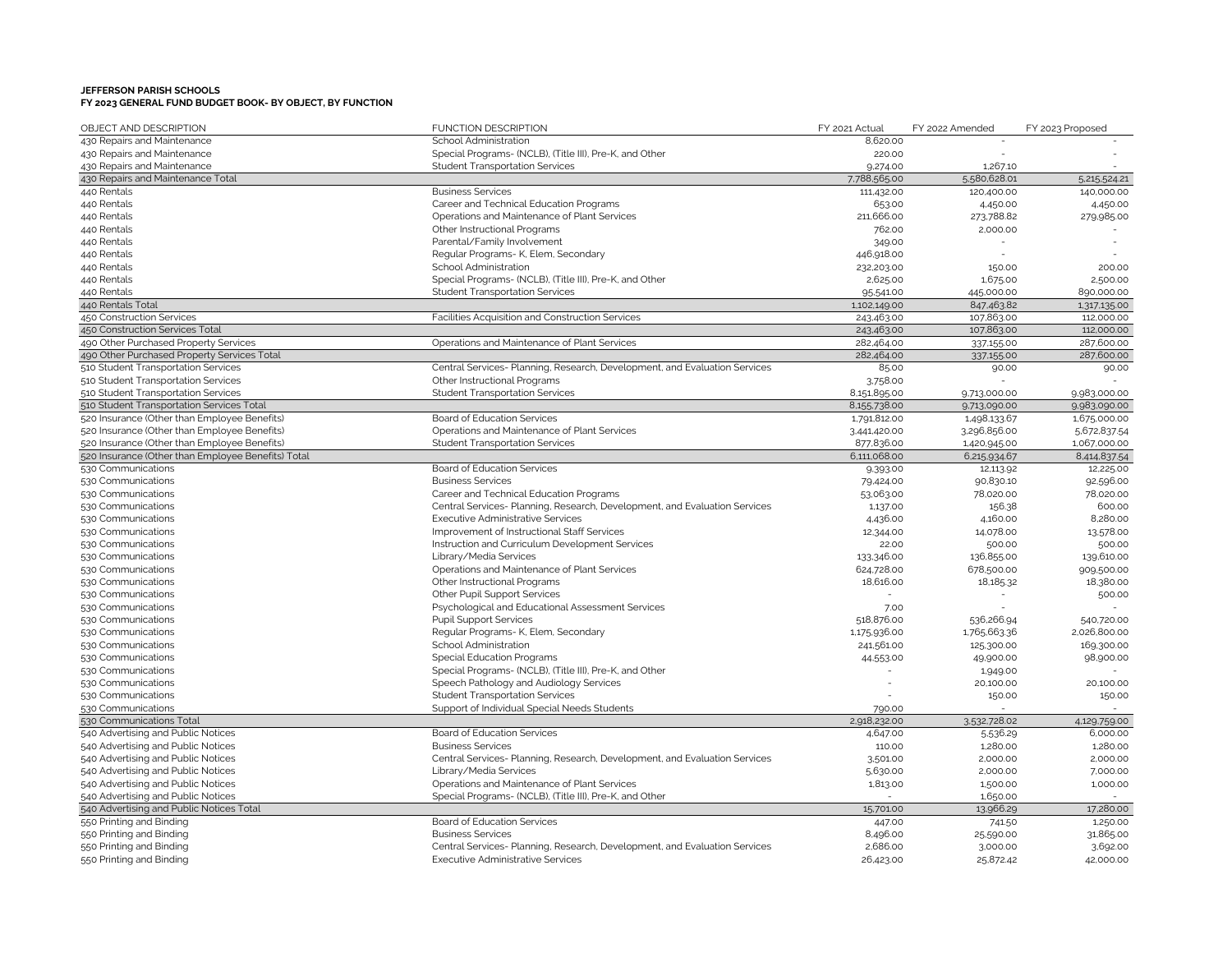| OBJECT AND DESCRIPTION                             | <b>FUNCTION DESCRIPTION</b>                                                | FY 2021 Actual         | FY 2022 Amended | FY 2023 Proposed       |
|----------------------------------------------------|----------------------------------------------------------------------------|------------------------|-----------------|------------------------|
| 430 Repairs and Maintenance                        | School Administration                                                      | 8,620.00               |                 |                        |
| 430 Repairs and Maintenance                        | Special Programs- (NCLB), (Title III), Pre-K, and Other                    | 220.00                 |                 |                        |
| 430 Repairs and Maintenance                        | <b>Student Transportation Services</b>                                     | 9,274.00               | 1,267.10        |                        |
| 430 Repairs and Maintenance Total                  |                                                                            | 7.788,565.00           | 5,580,628.01    | 5,215,524.21           |
| 440 Rentals                                        | <b>Business Services</b>                                                   | 111,432.00             | 120,400.00      | 140,000.00             |
| 440 Rentals                                        | Career and Technical Education Programs                                    | 653.00                 | 4,450.00        | 4,450.00               |
| 440 Rentals                                        | Operations and Maintenance of Plant Services                               | 211,666.00             | 273,788.82      | 279,985.00             |
| 440 Rentals                                        | Other Instructional Programs                                               | 762.00                 | 2,000.00        |                        |
| 440 Rentals                                        | Parental/Family Involvement                                                | 349.00                 |                 |                        |
| 440 Rentals                                        | Regular Programs- K, Elem, Secondary                                       | 446,918.00             |                 |                        |
| 440 Rentals                                        | School Administration                                                      | 232,203.00             | 150.00          | 200.00                 |
| 440 Rentals                                        | Special Programs- (NCLB), (Title III), Pre-K, and Other                    | 2,625.00               | 1,675.00        | 2,500.00               |
| 440 Rentals                                        | <b>Student Transportation Services</b>                                     | 95,541.00              | 445,000.00      | 890,000.00             |
| 440 Rentals Total                                  |                                                                            | 1,102,149.00           | 847,463.82      | 1,317,135.00           |
| 450 Construction Services                          | Facilities Acquisition and Construction Services                           | 243,463.00             | 107,863.00      | 112,000.00             |
| 450 Construction Services Total                    |                                                                            | 243,463.00             | 107,863.00      | 112,000.00             |
| 490 Other Purchased Property Services              | Operations and Maintenance of Plant Services                               | 282,464.00             | 337,155.00      | 287,600.00             |
| 490 Other Purchased Property Services Total        |                                                                            | 282,464.00             | 337,155.00      | 287,600.00             |
| 510 Student Transportation Services                | Central Services- Planning, Research, Development, and Evaluation Services | 85.00                  | 90.00           | 90.00                  |
| 510 Student Transportation Services                | Other Instructional Programs                                               | 3.758.00               |                 |                        |
| 510 Student Transportation Services                | <b>Student Transportation Services</b>                                     | 8,151,895.00           | 9,713,000.00    | 9,983,000.00           |
| 510 Student Transportation Services Total          |                                                                            | 8,155,738.00           | 9,713,090.00    | 9,983,090.00           |
| 520 Insurance (Other than Employee Benefits)       | Board of Education Services                                                | 1,791,812.00           | 1,498,133.67    | 1,675,000.00           |
| 520 Insurance (Other than Employee Benefits)       | Operations and Maintenance of Plant Services                               | 3.441,420.00           | 3.296.856.00    | 5,672,837.54           |
| 520 Insurance (Other than Employee Benefits)       | <b>Student Transportation Services</b>                                     | 877,836.00             | 1,420,945.00    | 1,067,000.00           |
| 520 Insurance (Other than Employee Benefits) Total |                                                                            | 6,111,068.00           | 6,215,934.67    | 8,414,837.54           |
| 530 Communications                                 | Board of Education Services                                                |                        | 12,113.92       | 12,225.00              |
| 530 Communications                                 | <b>Business Services</b>                                                   | 9,393.00               | 90,830.10       |                        |
| 530 Communications                                 | Career and Technical Education Programs                                    | 79,424.00<br>53,063.00 | 78,020.00       | 92,596.00<br>78,020.00 |
|                                                    |                                                                            |                        |                 |                        |
| 530 Communications                                 | Central Services- Planning, Research, Development, and Evaluation Services | 1,137.00               | 156.38          | 600.00                 |
| 530 Communications                                 | <b>Executive Administrative Services</b>                                   | 4,436.00               | 4,160.00        | 8,280.00               |
| 530 Communications                                 | Improvement of Instructional Staff Services                                | 12,344.00              | 14,078.00       | 13,578.00              |
| 530 Communications                                 | Instruction and Curriculum Development Services                            | 22.00                  | 500.00          | 500.00                 |
| 530 Communications                                 | Library/Media Services                                                     | 133,346.00             | 136,855.00      | 139,610.00             |
| 530 Communications                                 | Operations and Maintenance of Plant Services                               | 624,728.00             | 678,500.00      | 909,500.00             |
| 530 Communications                                 | Other Instructional Programs                                               | 18,616.00              | 18,185.32       | 18,380.00              |
| 530 Communications                                 | Other Pupil Support Services                                               |                        |                 | 500.00                 |
| 530 Communications                                 | Psychological and Educational Assessment Services                          | 7.00                   |                 |                        |
| 530 Communications                                 | <b>Pupil Support Services</b>                                              | 518,876.00             | 536,266.94      | 540,720.00             |
| 530 Communications                                 | Regular Programs- K, Elem, Secondary                                       | 1,175,936.00           | 1,765,663.36    | 2,026,800.00           |
| 530 Communications                                 | School Administration                                                      | 241,561.00             | 125,300.00      | 169,300.00             |
| 530 Communications                                 | <b>Special Education Programs</b>                                          | 44,553.00              | 49,900.00       | 98,900.00              |
| 530 Communications                                 | Special Programs- (NCLB), (Title III), Pre-K, and Other                    |                        | 1,949.00        |                        |
| 530 Communications                                 | Speech Pathology and Audiology Services                                    |                        | 20,100.00       | 20,100.00              |
| 530 Communications                                 | <b>Student Transportation Services</b>                                     |                        | 150.00          | 150.00                 |
| 530 Communications                                 | Support of Individual Special Needs Students                               | 790.00                 |                 |                        |
| 530 Communications Total                           |                                                                            | 2,918,232.00           | 3.532,728.02    | 4,129,759.00           |
| 540 Advertising and Public Notices                 | Board of Education Services                                                | 4,647.00               | 5,536.29        | 6,000.00               |
| 540 Advertising and Public Notices                 | <b>Business Services</b>                                                   | 110.00                 | 1,280.00        | 1,280.00               |
| 540 Advertising and Public Notices                 | Central Services- Planning, Research, Development, and Evaluation Services | 3,501.00               | 2,000.00        | 2,000.00               |
| 540 Advertising and Public Notices                 | Library/Media Services                                                     | 5,630.00               | 2,000.00        | 7,000.00               |
| 540 Advertising and Public Notices                 | Operations and Maintenance of Plant Services                               | 1,813.00               | 1,500.00        | 1,000.00               |
| 540 Advertising and Public Notices                 | Special Programs- (NCLB), (Title III), Pre-K, and Other                    |                        | 1,650.00        |                        |
| 540 Advertising and Public Notices Total           |                                                                            | 15,701.00              | 13,966.29       | 17,280.00              |
| 550 Printing and Binding                           | Board of Education Services                                                | 447.00                 | 741.50          | 1,250.00               |
| 550 Printing and Binding                           | <b>Business Services</b>                                                   | 8,496.00               | 25,590.00       | 31,865.00              |
| 550 Printing and Binding                           | Central Services- Planning, Research, Development, and Evaluation Services | 2,686.00               | 3,000.00        | 3,692.00               |
| 550 Printing and Binding                           | <b>Executive Administrative Services</b>                                   | 26,423.00              | 25,872.42       | 42,000.00              |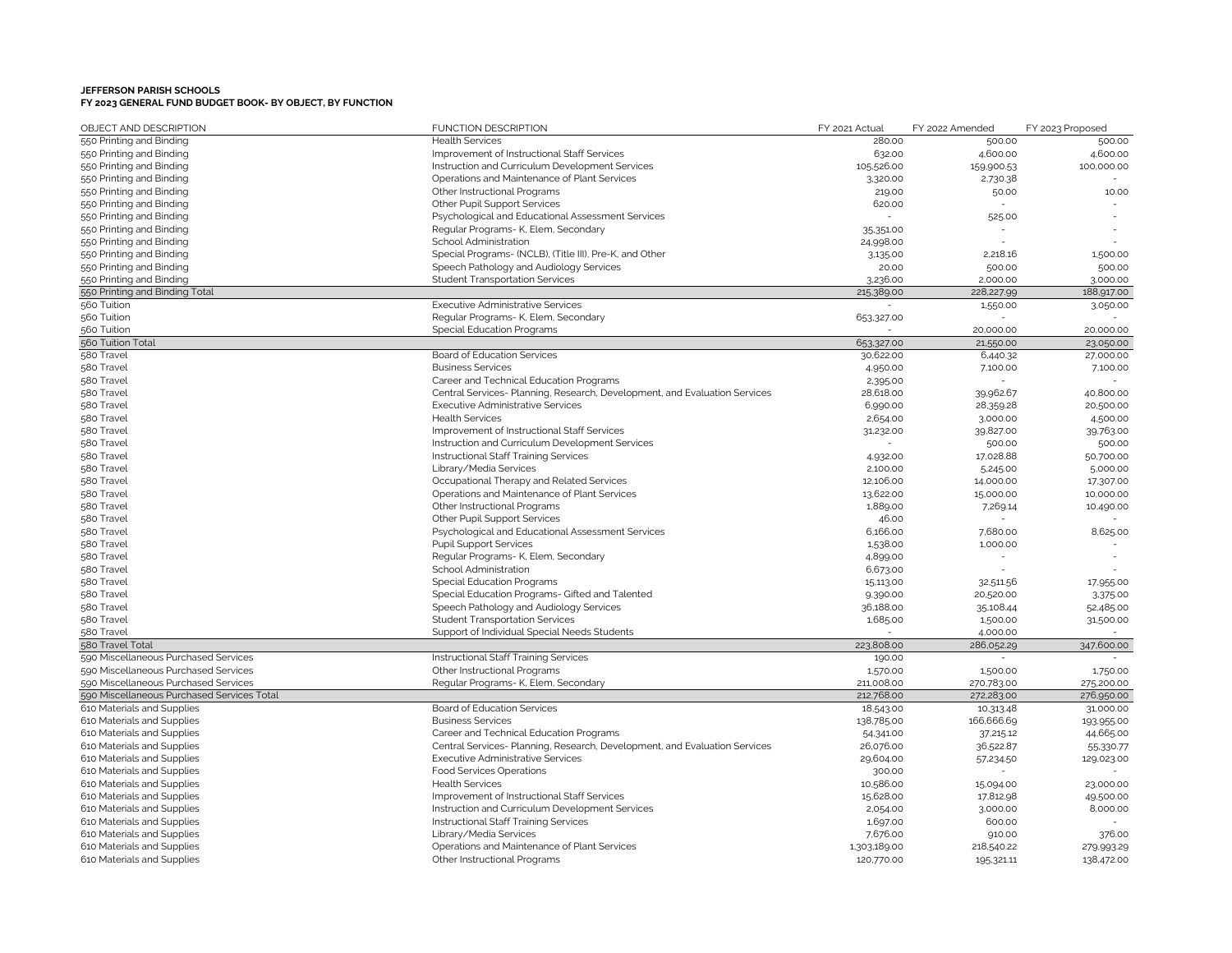| OBJECT AND DESCRIPTION                     | <b>FUNCTION DESCRIPTION</b>                                                | FY 2021 Actual | FY 2022 Amended | FY 2023 Proposed |
|--------------------------------------------|----------------------------------------------------------------------------|----------------|-----------------|------------------|
| 550 Printing and Binding                   | <b>Health Services</b>                                                     | 280.00         | 500.00          | 500.00           |
| 550 Printing and Binding                   | Improvement of Instructional Staff Services                                | 632.00         | 4,600.00        | 4,600.00         |
| 550 Printing and Binding                   | Instruction and Curriculum Development Services                            | 105,526.00     | 159,900.53      | 100,000.00       |
| 550 Printing and Binding                   | Operations and Maintenance of Plant Services                               | 3,320.00       | 2,730.38        |                  |
| 550 Printing and Binding                   | Other Instructional Programs                                               | 219.00         | 50.00           | 10.00            |
| 550 Printing and Binding                   | <b>Other Pupil Support Services</b>                                        | 620.00         |                 |                  |
| 550 Printing and Binding                   | Psychological and Educational Assessment Services                          |                | 525.00          |                  |
| 550 Printing and Binding                   | Regular Programs- K, Elem, Secondary                                       | 35,351.00      |                 |                  |
| 550 Printing and Binding                   | School Administration                                                      | 24,998.00      |                 |                  |
| 550 Printing and Binding                   | Special Programs- (NCLB), (Title III), Pre-K, and Other                    | 3,135.00       | 2,218.16        | 1,500.00         |
| 550 Printing and Binding                   | Speech Pathology and Audiology Services                                    | 20.00          | 500.00          | 500.00           |
| 550 Printing and Binding                   | <b>Student Transportation Services</b>                                     | 3,236.00       | 2,000.00        | 3,000.00         |
| 550 Printing and Binding Total             |                                                                            | 215,389.00     | 228,227.99      | 188,917.00       |
| 560 Tuition                                | <b>Executive Administrative Services</b>                                   |                | 1,550.00        | 3,050.00         |
| 560 Tuition                                | Regular Programs- K, Elem, Secondary                                       | 653,327.00     |                 |                  |
| 560 Tuition                                | Special Education Programs                                                 |                | 20,000.00       | 20,000.00        |
| 560 Tuition Total                          |                                                                            | 653,327.00     | 21,550.00       | 23,050.00        |
| 580 Travel                                 | Board of Education Services                                                | 30,622.00      | 6,440.32        | 27,000.00        |
| 580 Travel                                 | <b>Business Services</b>                                                   | 4,950.00       | 7,100.00        | 7,100.00         |
| 580 Travel                                 | Career and Technical Education Programs                                    | 2,395.00       |                 |                  |
| 580 Travel                                 | Central Services- Planning, Research, Development, and Evaluation Services | 28,618.00      | 39,962.67       | 40,800.00        |
| 580 Travel                                 | <b>Executive Administrative Services</b>                                   | 6,990.00       | 28,359.28       | 20,500.00        |
| 580 Travel                                 | <b>Health Services</b>                                                     | 2,654.00       | 3,000.00        | 4,500.00         |
| 580 Travel                                 | Improvement of Instructional Staff Services                                | 31,232.00      | 39,827.00       | 39,763.00        |
| 580 Travel                                 | Instruction and Curriculum Development Services                            |                | 500.00          | 500.00           |
| 580 Travel                                 | Instructional Staff Training Services                                      | 4,932.00       | 17,028.88       | 50,700.00        |
| 580 Travel                                 | Library/Media Services                                                     | 2,100.00       | 5,245.00        | 5,000.00         |
| 580 Travel                                 | Occupational Therapy and Related Services                                  | 12,106.00      | 14,000.00       | 17,307.00        |
| 580 Travel                                 | Operations and Maintenance of Plant Services                               | 13,622.00      | 15,000.00       | 10,000.00        |
| 580 Travel                                 | Other Instructional Programs                                               | 1,889.00       | 7,269.14        | 10,490.00        |
| 580 Travel                                 | Other Pupil Support Services                                               | 46.00          |                 |                  |
| 580 Travel                                 |                                                                            | 6,166.00       | 7,680.00        | 8,625.00         |
|                                            | Psychological and Educational Assessment Services                          |                |                 |                  |
| 580 Travel                                 | <b>Pupil Support Services</b>                                              | 1,538.00       | 1,000.00        |                  |
| 580 Travel                                 | Regular Programs- K, Elem, Secondary                                       | 4,899.00       |                 |                  |
| 580 Travel                                 | School Administration                                                      | 6,673.00       |                 |                  |
| 580 Travel                                 | <b>Special Education Programs</b>                                          | 15,113.00      | 32,511.56       | 17,955.00        |
| 580 Travel                                 | Special Education Programs- Gifted and Talented                            | 9,390.00       | 20,520.00       | 3,375.00         |
| 580 Travel                                 | Speech Pathology and Audiology Services                                    | 36,188.00      | 35,108.44       | 52,485.00        |
| 580 Travel                                 | <b>Student Transportation Services</b>                                     | 1,685.00       | 1,500.00        | 31,500.00        |
| 580 Travel                                 | Support of Individual Special Needs Students                               |                | 4,000.00        |                  |
| 580 Travel Total                           |                                                                            | 223,808.00     | 286,052.29      | 347,600.00       |
| 590 Miscellaneous Purchased Services       | Instructional Staff Training Services                                      | 190.00         |                 |                  |
| 590 Miscellaneous Purchased Services       | Other Instructional Programs                                               | 1,570.00       | 1,500.00        | 1,750.00         |
| 590 Miscellaneous Purchased Services       | Regular Programs- K, Elem, Secondary                                       | 211,008.00     | 270,783.00      | 275,200.00       |
| 590 Miscellaneous Purchased Services Total |                                                                            | 212,768.00     | 272,283.00      | 276,950.00       |
| 610 Materials and Supplies                 | Board of Education Services                                                | 18,543.00      | 10,313.48       | 31,000.00        |
| 610 Materials and Supplies                 | <b>Business Services</b>                                                   | 138,785.00     | 166,666.69      | 193,955.00       |
| 610 Materials and Supplies                 | Career and Technical Education Programs                                    | 54,341.00      | 37,215.12       | 44,665.00        |
| 610 Materials and Supplies                 | Central Services- Planning, Research, Development, and Evaluation Services | 26,076.00      | 36,522.87       | 55,330.77        |
| 610 Materials and Supplies                 | <b>Executive Administrative Services</b>                                   | 29,604.00      | 57,234.50       | 129,023.00       |
| 610 Materials and Supplies                 | <b>Food Services Operations</b>                                            | 300.00         |                 |                  |
| 610 Materials and Supplies                 | <b>Health Services</b>                                                     | 10,586.00      | 15,094.00       | 23,000.00        |
| 610 Materials and Supplies                 | Improvement of Instructional Staff Services                                | 15,628.00      | 17,812.98       | 49,500.00        |
| 610 Materials and Supplies                 | Instruction and Curriculum Development Services                            | 2,054.00       | 3,000.00        | 8,000.00         |
| 610 Materials and Supplies                 | Instructional Staff Training Services                                      | 1,697.00       | 600.00          |                  |
| 610 Materials and Supplies                 | Library/Media Services                                                     | 7,676.00       | 910.00          | 376.00           |
| 610 Materials and Supplies                 | Operations and Maintenance of Plant Services                               | 1,303,189.00   | 218,540.22      | 279,993.29       |
| 610 Materials and Supplies                 | Other Instructional Programs                                               | 120,770.00     | 195,321.11      | 138,472.00       |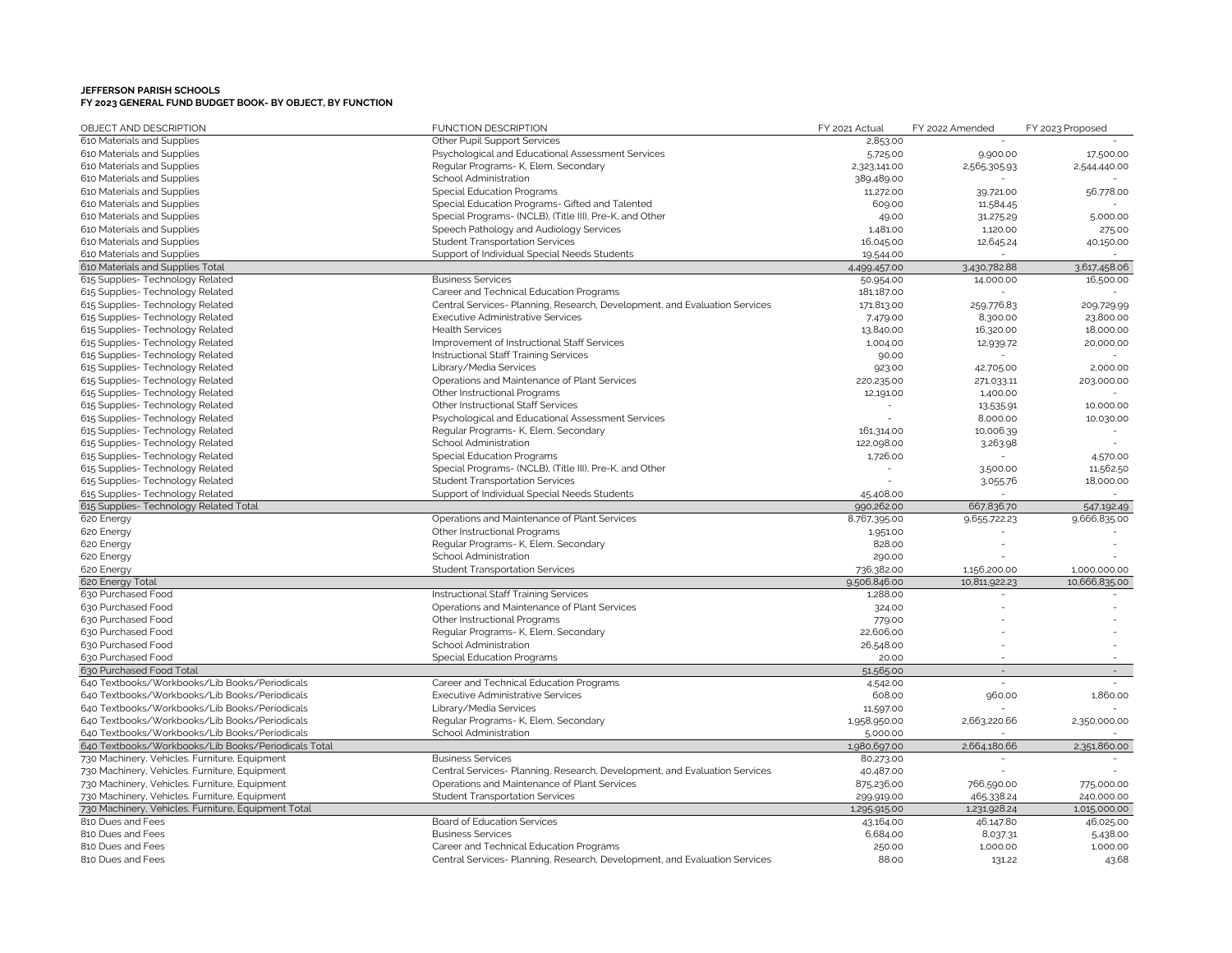| OBJECT AND DESCRIPTION                              | FUNCTION DESCRIPTION                                                       | FY 2021 Actual | FY 2022 Amended | FY 2023 Proposed         |
|-----------------------------------------------------|----------------------------------------------------------------------------|----------------|-----------------|--------------------------|
| 610 Materials and Supplies                          | Other Pupil Support Services                                               | 2,853.00       |                 |                          |
| 610 Materials and Supplies                          | Psychological and Educational Assessment Services                          | 5,725.00       | 9,900.00        | 17,500.00                |
| 610 Materials and Supplies                          | Regular Programs- K, Elem, Secondary                                       | 2,323,141.00   | 2,565,305.93    | 2,544,440.00             |
| 610 Materials and Supplies                          | School Administration                                                      | 389,489.00     |                 |                          |
| 610 Materials and Supplies                          | <b>Special Education Programs</b>                                          | 11,272.00      | 39,721.00       | 56,778.00                |
| 610 Materials and Supplies                          | Special Education Programs- Gifted and Talented                            | 609.00         | 11,584.45       |                          |
| 610 Materials and Supplies                          | Special Programs- (NCLB), (Title III), Pre-K, and Other                    | 49.00          | 31,275.29       | 5,000.00                 |
| 610 Materials and Supplies                          | Speech Pathology and Audiology Services                                    | 1,481.00       | 1,120.00        | 275.00                   |
| 610 Materials and Supplies                          | <b>Student Transportation Services</b>                                     | 16,045.00      | 12,645.24       | 40,150.00                |
| 610 Materials and Supplies                          | Support of Individual Special Needs Students                               | 19,544.00      |                 |                          |
| 610 Materials and Supplies Total                    |                                                                            | 4,499,457.00   | 3,430,782.88    | 3,617,458.06             |
| 615 Supplies- Technology Related                    | <b>Business Services</b>                                                   | 50,954.00      | 14,000.00       | 16,500.00                |
| 615 Supplies- Technology Related                    | Career and Technical Education Programs                                    | 181,187.00     |                 |                          |
| 615 Supplies- Technology Related                    | Central Services- Planning, Research, Development, and Evaluation Services | 171,813.00     | 259,776.83      | 209,729.99               |
| 615 Supplies- Technology Related                    | <b>Executive Administrative Services</b>                                   | 7,479.00       | 8,300.00        | 23,800.00                |
| 615 Supplies- Technology Related                    | <b>Health Services</b>                                                     | 13,840.00      | 16,320.00       | 18,000.00                |
| 615 Supplies- Technology Related                    | Improvement of Instructional Staff Services                                | 1,004.00       | 12,939.72       | 20,000.00                |
| 615 Supplies- Technology Related                    | Instructional Staff Training Services                                      | 90.00          |                 |                          |
| 615 Supplies- Technology Related                    | Library/Media Services                                                     | 923.00         | 42,705.00       | 2,000.00                 |
| 615 Supplies- Technology Related                    | Operations and Maintenance of Plant Services                               | 220,235.00     | 271,033.11      | 203,000.00               |
| 615 Supplies- Technology Related                    | Other Instructional Programs                                               | 12,191.00      | 1,400.00        |                          |
| 615 Supplies-Technology Related                     | Other Instructional Staff Services                                         |                | 13.535.91       | 10,000.00                |
| 615 Supplies- Technology Related                    | Psychological and Educational Assessment Services                          |                | 8,000.00        | 10,030.00                |
| 615 Supplies- Technology Related                    | Regular Programs- K, Elem, Secondary                                       | 161,314.00     | 10,006.39       |                          |
| 615 Supplies- Technology Related                    | School Administration                                                      | 122,098.00     | 3,263.98        |                          |
| 615 Supplies- Technology Related                    | Special Education Programs                                                 | 1,726.00       |                 | 4,570.00                 |
| 615 Supplies- Technology Related                    | Special Programs- (NCLB), (Title III), Pre-K, and Other                    |                | 3.500.00        | 11,562.50                |
| 615 Supplies- Technology Related                    | <b>Student Transportation Services</b>                                     |                | 3,055.76        | 18,000.00                |
| 615 Supplies- Technology Related                    | Support of Individual Special Needs Students                               | 45,408.00      |                 |                          |
| 615 Supplies- Technology Related Total              |                                                                            | 990,262.00     | 667,836.70      | 547,192.49               |
| 620 Energy                                          | Operations and Maintenance of Plant Services                               | 8,767,395.00   | 9,655,722.23    | 9,666,835.00             |
| 620 Energy                                          | Other Instructional Programs                                               | 1,951.00       |                 |                          |
| 620 Energy                                          | Regular Programs- K, Elem, Secondary                                       | 828.00         |                 |                          |
| 620 Energy                                          | School Administration                                                      | 290.00         |                 |                          |
| 620 Energy                                          | <b>Student Transportation Services</b>                                     | 736,382.00     | 1,156,200.00    | 1,000,000.00             |
| 620 Energy Total                                    |                                                                            | 9,506,846.00   | 10,811,922.23   | 10,666,835.00            |
| 630 Purchased Food                                  | Instructional Staff Training Services                                      | 1,288.00       |                 |                          |
| 630 Purchased Food                                  | Operations and Maintenance of Plant Services                               | 324.00         |                 |                          |
| 630 Purchased Food                                  | Other Instructional Programs                                               | 779.00         |                 |                          |
| 630 Purchased Food                                  | Regular Programs- K, Elem, Secondary                                       | 22,606.00      |                 |                          |
| 630 Purchased Food                                  | School Administration                                                      | 26,548.00      |                 |                          |
| 630 Purchased Food                                  | <b>Special Education Programs</b>                                          | 20.00          |                 |                          |
| 630 Purchased Food Total                            |                                                                            | 51,565.00      | $\sim$          | $\overline{\phantom{a}}$ |
| 640 Textbooks/Workbooks/Lib Books/Periodicals       | Career and Technical Education Programs                                    | 4,542.00       |                 |                          |
| 640 Textbooks/Workbooks/Lib Books/Periodicals       | <b>Executive Administrative Services</b>                                   | 608.00         | 960.00          | 1,860.00                 |
| 640 Textbooks/Workbooks/Lib Books/Periodicals       | Library/Media Services                                                     | 11,597.00      |                 |                          |
| 640 Textbooks/Workbooks/Lib Books/Periodicals       | Regular Programs- K, Elem, Secondary                                       | 1,958,950.00   | 2,663,220.66    | 2,350,000.00             |
| 640 Textbooks/Workbooks/Lib Books/Periodicals       | School Administration                                                      | 5,000.00       |                 |                          |
| 640 Textbooks/Workbooks/Lib Books/Periodicals Total |                                                                            | 1,980,697.00   | 2,664,180.66    | 2,351,860.00             |
| 730 Machinery, Vehicles. Furniture, Equipment       | <b>Business Services</b>                                                   | 80,273.00      |                 |                          |
| 730 Machinery, Vehicles. Furniture, Equipment       | Central Services- Planning, Research, Development, and Evaluation Services | 40,487.00      |                 |                          |
| 730 Machinery, Vehicles. Furniture, Equipment       | Operations and Maintenance of Plant Services                               | 875,236.00     | 766,590.00      | 775,000.00               |
| 730 Machinery, Vehicles. Furniture, Equipment       | <b>Student Transportation Services</b>                                     | 299,919.00     | 465,338.24      | 240,000.00               |
| 730 Machinery, Vehicles. Furniture, Equipment Total |                                                                            | 1,295,915.00   | 1,231,928.24    | 1,015,000.00             |
| 810 Dues and Fees                                   | Board of Education Services                                                | 43,164.00      | 46,147.80       | 46,025.00                |
| 810 Dues and Fees                                   | <b>Business Services</b>                                                   | 6,684.00       | 8,037.31        | 5,438.00                 |
| 810 Dues and Fees                                   | Career and Technical Education Programs                                    | 250.00         | 1,000.00        | 1.000.00                 |
| 810 Dues and Fees                                   | Central Services- Planning, Research, Development, and Evaluation Services | 88.00          | 131.22          | 43.68                    |
|                                                     |                                                                            |                |                 |                          |